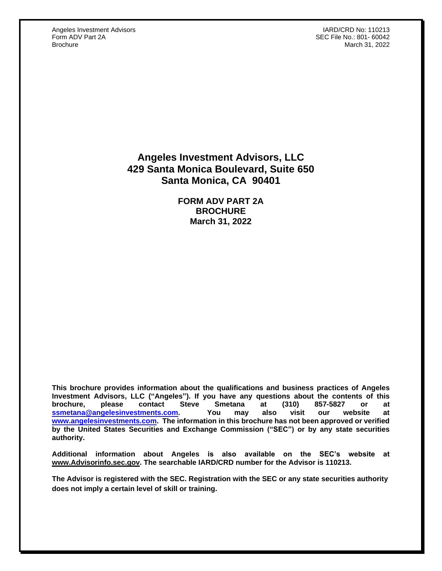Angeles Investment Advisors **International Community** Control of the IARD/CRD No: 110213 Form ADV Part 2A SEC File No.: 801- 60042<br>Brochure March 31, 2022

March 31, 2022

## **Angeles Investment Advisors, LLC 429 Santa Monica Boulevard, Suite 650 Santa Monica, CA 90401**

**FORM ADV PART 2A BROCHURE March 31, 2022**

**This brochure provides information about the qualifications and business practices of Angeles Investment Advisors, LLC ("Angeles"). If you have any questions about the contents of this brochure, please contact Steve Smetana at (310) 857-5827 or at [ssmetana@angelesinvestments.com.](mailto:ssmetana@angelesinvestments.com) You may also visit our website at [www.angelesinvestments.com.](http://www.angelesinvestments.com/) The information in this brochure has not been approved or verified by the United States Securities and Exchange Commission ("SEC") or by any state securities authority.**

**Additional information about Angeles is also available on the SEC's website at [www.Advisorinfo.sec.gov.](http://www.adviserinfo.sec.gov/) The searchable IARD/CRD number for the Advisor is 110213.**

**The Advisor is registered with the SEC. Registration with the SEC or any state securities authority does not imply a certain level of skill or training.**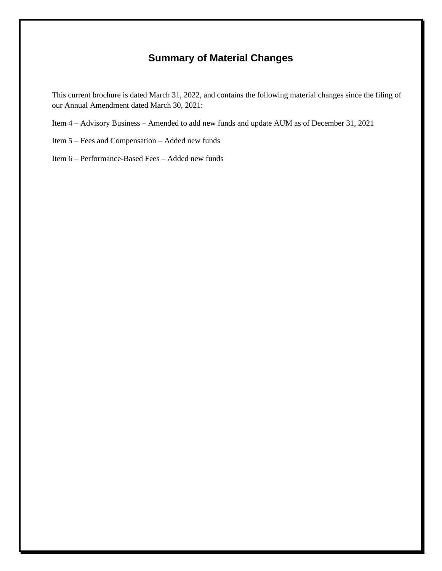## **Summary of Material Changes**

This current brochure is dated March 31, 2022, and contains the following material changes since the filing of our Annual Amendment dated March 30, 2021:

Item 4 – Advisory Business – Amended to add new funds and update AUM as of December 31, 2021

Item 5 – Fees and Compensation – Added new funds

Item 6 – Performance-Based Fees – Added new funds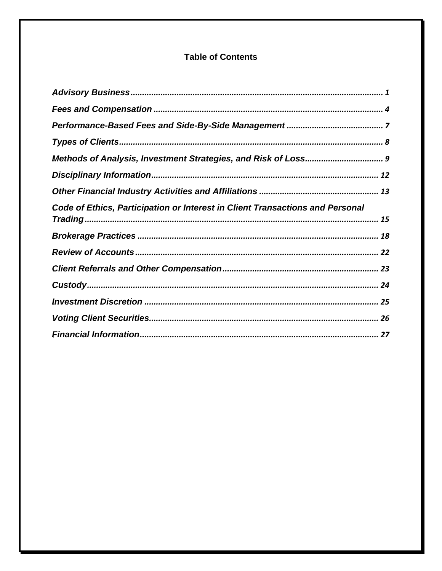## **Table of Contents**

| Code of Ethics, Participation or Interest in Client Transactions and Personal |
|-------------------------------------------------------------------------------|
|                                                                               |
|                                                                               |
|                                                                               |
|                                                                               |
|                                                                               |
|                                                                               |
|                                                                               |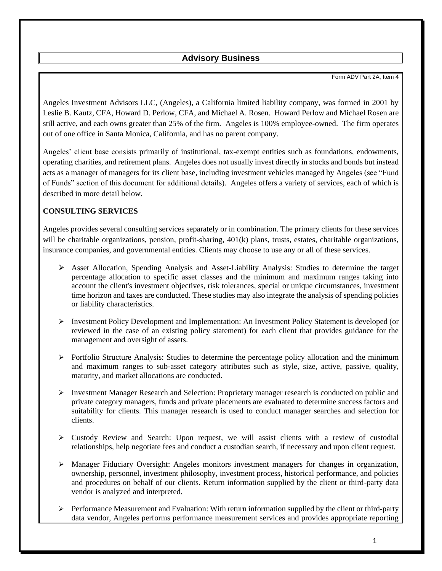### *0B***Advisory Business**

Form ADV Part 2A, Item 4

<span id="page-3-0"></span>Angeles Investment Advisors LLC, (Angeles), a California limited liability company, was formed in 2001 by Leslie B. Kautz, CFA, Howard D. Perlow, CFA, and Michael A. Rosen. Howard Perlow and Michael Rosen are still active, and each owns greater than 25% of the firm. Angeles is 100% employee-owned. The firm operates out of one office in Santa Monica, California, and has no parent company.

Angeles' client base consists primarily of institutional, tax-exempt entities such as foundations, endowments, operating charities, and retirement plans. Angeles does not usually invest directly in stocks and bonds but instead acts as a manager of managers for its client base, including investment vehicles managed by Angeles (see "Fund of Funds" section of this document for additional details). Angeles offers a variety of services, each of which is described in more detail below.

### **CONSULTING SERVICES**

Angeles provides several consulting services separately or in combination. The primary clients for these services will be charitable organizations, pension, profit-sharing, 401(k) plans, trusts, estates, charitable organizations, insurance companies, and governmental entities. Clients may choose to use any or all of these services.

- ➢ Asset Allocation, Spending Analysis and Asset-Liability Analysis: Studies to determine the target percentage allocation to specific asset classes and the minimum and maximum ranges taking into account the client's investment objectives, risk tolerances, special or unique circumstances, investment time horizon and taxes are conducted. These studies may also integrate the analysis of spending policies or liability characteristics.
- ➢ Investment Policy Development and Implementation: An Investment Policy Statement is developed (or reviewed in the case of an existing policy statement) for each client that provides guidance for the management and oversight of assets.
- ➢ Portfolio Structure Analysis: Studies to determine the percentage policy allocation and the minimum and maximum ranges to sub-asset category attributes such as style, size, active, passive, quality, maturity, and market allocations are conducted.
- ➢ Investment Manager Research and Selection: Proprietary manager research is conducted on public and private category managers, funds and private placements are evaluated to determine success factors and suitability for clients. This manager research is used to conduct manager searches and selection for clients.
- ➢ Custody Review and Search: Upon request, we will assist clients with a review of custodial relationships, help negotiate fees and conduct a custodian search, if necessary and upon client request.
- ➢ Manager Fiduciary Oversight: Angeles monitors investment managers for changes in organization, ownership, personnel, investment philosophy, investment process, historical performance, and policies and procedures on behalf of our clients. Return information supplied by the client or third-party data vendor is analyzed and interpreted.
- $\triangleright$  Performance Measurement and Evaluation: With return information supplied by the client or third-party data vendor, Angeles performs performance measurement services and provides appropriate reporting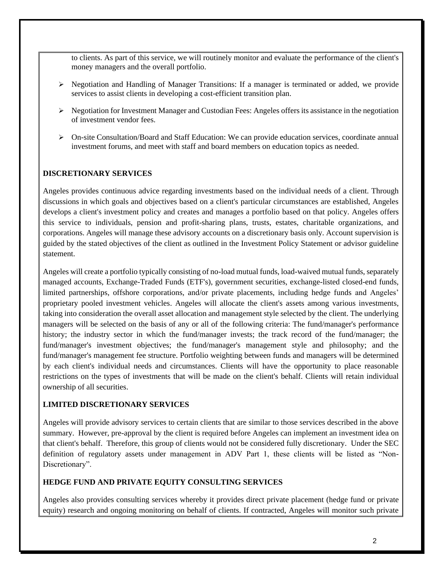to clients. As part of this service, we will routinely monitor and evaluate the performance of the client's money managers and the overall portfolio.

- $\triangleright$  Negotiation and Handling of Manager Transitions: If a manager is terminated or added, we provide services to assist clients in developing a cost-efficient transition plan.
- ➢ Negotiation for Investment Manager and Custodian Fees: Angeles offers its assistance in the negotiation of investment vendor fees.
- ➢ On-site Consultation/Board and Staff Education: We can provide education services, coordinate annual investment forums, and meet with staff and board members on education topics as needed.

#### **DISCRETIONARY SERVICES**

Angeles provides continuous advice regarding investments based on the individual needs of a client. Through discussions in which goals and objectives based on a client's particular circumstances are established, Angeles develops a client's investment policy and creates and manages a portfolio based on that policy. Angeles offers this service to individuals, pension and profit-sharing plans, trusts, estates, charitable organizations, and corporations. Angeles will manage these advisory accounts on a discretionary basis only. Account supervision is guided by the stated objectives of the client as outlined in the Investment Policy Statement or advisor guideline statement.

Angeles will create a portfolio typically consisting of no-load mutual funds, load-waived mutual funds, separately managed accounts, Exchange-Traded Funds (ETF's), government securities, exchange-listed closed-end funds, limited partnerships, offshore corporations, and/or private placements, including hedge funds and Angeles' proprietary pooled investment vehicles. Angeles will allocate the client's assets among various investments, taking into consideration the overall asset allocation and management style selected by the client. The underlying managers will be selected on the basis of any or all of the following criteria: The fund/manager's performance history; the industry sector in which the fund/manager invests; the track record of the fund/manager; the fund/manager's investment objectives; the fund/manager's management style and philosophy; and the fund/manager's management fee structure. Portfolio weighting between funds and managers will be determined by each client's individual needs and circumstances. Clients will have the opportunity to place reasonable restrictions on the types of investments that will be made on the client's behalf. Clients will retain individual ownership of all securities.

#### **LIMITED DISCRETIONARY SERVICES**

Angeles will provide advisory services to certain clients that are similar to those services described in the above summary. However, pre-approval by the client is required before Angeles can implement an investment idea on that client's behalf. Therefore, this group of clients would not be considered fully discretionary. Under the SEC definition of regulatory assets under management in ADV Part 1, these clients will be listed as "Non-Discretionary".

#### **HEDGE FUND AND PRIVATE EQUITY CONSULTING SERVICES**

Angeles also provides consulting services whereby it provides direct private placement (hedge fund or private equity) research and ongoing monitoring on behalf of clients. If contracted, Angeles will monitor such private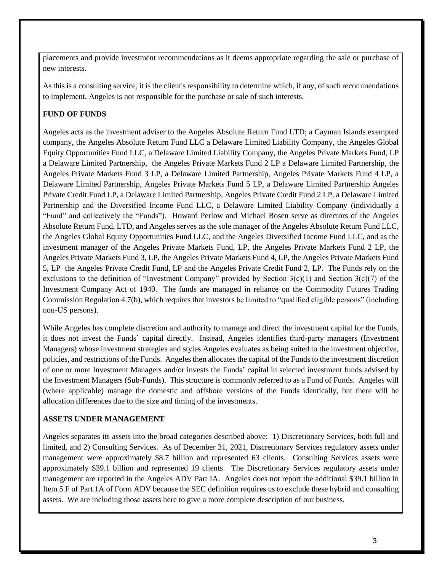placements and provide investment recommendations as it deems appropriate regarding the sale or purchase of new interests.

As this is a consulting service, it is the client's responsibility to determine which, if any, of such recommendations to implement. Angeles is not responsible for the purchase or sale of such interests.

#### **FUND OF FUNDS**

Angeles acts as the investment adviser to the Angeles Absolute Return Fund LTD; a Cayman Islands exempted company, the Angeles Absolute Return Fund LLC a Delaware Limited Liability Company, the Angeles Global Equity Opportunities Fund LLC, a Delaware Limited Liability Company, the Angeles Private Markets Fund, LP a Delaware Limited Partnership, the Angeles Private Markets Fund 2 LP a Delaware Limited Partnership, the Angeles Private Markets Fund 3 LP, a Delaware Limited Partnership, Angeles Private Markets Fund 4 LP, a Delaware Limited Partnership, Angeles Private Markets Fund 5 LP, a Delaware Limited Partnership Angeles Private Credit Fund LP, a Delaware Limited Partnership, Angeles Private Credit Fund 2 LP, a Delaware Limited Partnership and the Diversified Income Fund LLC, a Delaware Limited Liability Company (individually a "Fund" and collectively the "Funds"). Howard Perlow and Michael Rosen serve as directors of the Angeles Absolute Return Fund, LTD, and Angeles serves as the sole manager of the Angeles Absolute Return Fund LLC, the Angeles Global Equity Opportunities Fund LLC, and the Angeles Diversified Income Fund LLC, and as the investment manager of the Angeles Private Markets Fund, LP, the Angeles Private Markets Fund 2 LP, the Angeles Private Markets Fund 3, LP, the Angeles Private Markets Fund 4, LP, the Angeles Private Markets Fund 5, LP the Angeles Private Credit Fund, LP and the Angeles Private Credit Fund 2, LP. The Funds rely on the exclusions to the definition of "Investment Company" provided by Section  $3(c)(1)$  and Section  $3(c)(7)$  of the Investment Company Act of 1940. The funds are managed in reliance on the Commodity Futures Trading Commission Regulation 4.7(b), which requires that investors be limited to "qualified eligible persons" (including non-US persons).

While Angeles has complete discretion and authority to manage and direct the investment capital for the Funds, it does not invest the Funds' capital directly. Instead, Angeles identifies third-party managers (Investment Managers) whose investment strategies and styles Angeles evaluates as being suited to the investment objective, policies, and restrictions of the Funds. Angeles then allocates the capital of the Funds to the investment discretion of one or more Investment Managers and/or invests the Funds' capital in selected investment funds advised by the Investment Managers (Sub-Funds). This structure is commonly referred to as a Fund of Funds. Angeles will (where applicable) manage the domestic and offshore versions of the Funds identically, but there will be allocation differences due to the size and timing of the investments.

#### **ASSETS UNDER MANAGEMENT**

Angeles separates its assets into the broad categories described above: 1) Discretionary Services, both full and limited, and 2) Consulting Services. As of December 31, 2021, Discretionary Services regulatory assets under management were approximately \$8.7 billion and represented 63 clients. Consulting Services assets were approximately \$39.1 billion and represented 19 clients. The Discretionary Services regulatory assets under management are reported in the Angeles ADV Part IA. Angeles does not report the additional \$39.1 billion in Item 5.F of Part 1A of Form ADV because the SEC definition requires us to exclude these hybrid and consulting assets. We are including those assets here to give a more complete description of our business.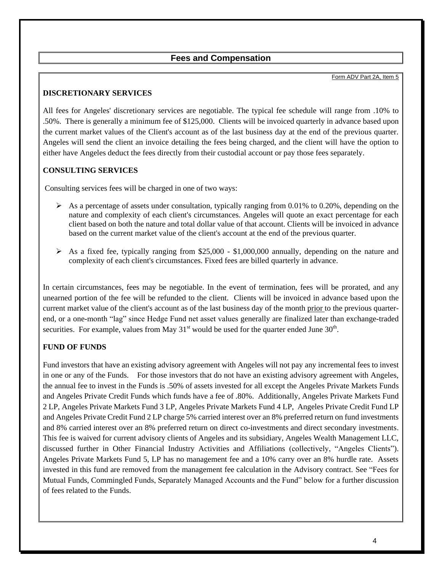### **Fees and Compensation**

Form ADV Part 2A, Item 5

### <span id="page-6-0"></span>**DISCRETIONARY SERVICES**

All fees for Angeles' discretionary services are negotiable. The typical fee schedule will range from .10% to .50%. There is generally a minimum fee of \$125,000. Clients will be invoiced quarterly in advance based upon the current market values of the Client's account as of the last business day at the end of the previous quarter. Angeles will send the client an invoice detailing the fees being charged, and the client will have the option to either have Angeles deduct the fees directly from their custodial account or pay those fees separately.

### **CONSULTING SERVICES**

Consulting services fees will be charged in one of two ways:

- ➢ As a percentage of assets under consultation, typically ranging from 0.01% to 0.20%, depending on the nature and complexity of each client's circumstances. Angeles will quote an exact percentage for each client based on both the nature and total dollar value of that account. Clients will be invoiced in advance based on the current market value of the client's account at the end of the previous quarter.
- ➢ As a fixed fee, typically ranging from \$25,000 \$1,000,000 annually, depending on the nature and complexity of each client's circumstances. Fixed fees are billed quarterly in advance.

In certain circumstances, fees may be negotiable. In the event of termination, fees will be prorated, and any unearned portion of the fee will be refunded to the client. Clients will be invoiced in advance based upon the current market value of the client's account as of the last business day of the month prior to the previous quarterend, or a one-month "lag" since Hedge Fund net asset values generally are finalized later than exchange-traded securities. For example, values from May  $31<sup>st</sup>$  would be used for the quarter ended June  $30<sup>th</sup>$ .

#### **FUND OF FUNDS**

Fund investors that have an existing advisory agreement with Angeles will not pay any incremental fees to invest in one or any of the Funds. For those investors that do not have an existing advisory agreement with Angeles, the annual fee to invest in the Funds is .50% of assets invested for all except the Angeles Private Markets Funds and Angeles Private Credit Funds which funds have a fee of .80%. Additionally, Angeles Private Markets Fund 2 LP, Angeles Private Markets Fund 3 LP, Angeles Private Markets Fund 4 LP, Angeles Private Credit Fund LP and Angeles Private Credit Fund 2 LP charge 5% carried interest over an 8% preferred return on fund investments and 8% carried interest over an 8% preferred return on direct co-investments and direct secondary investments. This fee is waived for current advisory clients of Angeles and its subsidiary, Angeles Wealth Management LLC, discussed further in Other Financial Industry Activities and Affiliations (collectively, "Angeles Clients"). Angeles Private Markets Fund 5, LP has no management fee and a 10% carry over an 8% hurdle rate. Assets invested in this fund are removed from the management fee calculation in the Advisory contract. See "Fees for Mutual Funds, Commingled Funds, Separately Managed Accounts and the Fund" below for a further discussion of fees related to the Funds.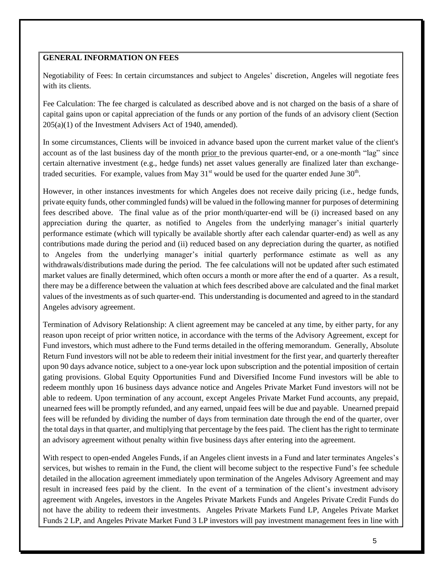#### **GENERAL INFORMATION ON FEES**

Negotiability of Fees: In certain circumstances and subject to Angeles' discretion, Angeles will negotiate fees with its clients.

Fee Calculation: The fee charged is calculated as described above and is not charged on the basis of a share of capital gains upon or capital appreciation of the funds or any portion of the funds of an advisory client (Section 205(a)(1) of the Investment Advisers Act of 1940, amended).

In some circumstances, Clients will be invoiced in advance based upon the current market value of the client's account as of the last business day of the month prior to the previous quarter-end, or a one-month "lag" since certain alternative investment (e.g., hedge funds) net asset values generally are finalized later than exchangetraded securities. For example, values from May  $31<sup>st</sup>$  would be used for the quarter ended June  $30<sup>th</sup>$ .

However, in other instances investments for which Angeles does not receive daily pricing (i.e., hedge funds, private equity funds, other commingled funds) will be valued in the following manner for purposes of determining fees described above. The final value as of the prior month/quarter-end will be (i) increased based on any appreciation during the quarter, as notified to Angeles from the underlying manager's initial quarterly performance estimate (which will typically be available shortly after each calendar quarter-end) as well as any contributions made during the period and (ii) reduced based on any depreciation during the quarter, as notified to Angeles from the underlying manager's initial quarterly performance estimate as well as any withdrawals/distributions made during the period. The fee calculations will not be updated after such estimated market values are finally determined, which often occurs a month or more after the end of a quarter. As a result, there may be a difference between the valuation at which fees described above are calculated and the final market values of the investments as of such quarter-end. This understanding is documented and agreed to in the standard Angeles advisory agreement.

Termination of Advisory Relationship: A client agreement may be canceled at any time, by either party, for any reason upon receipt of prior written notice, in accordance with the terms of the Advisory Agreement, except for Fund investors, which must adhere to the Fund terms detailed in the offering memorandum. Generally, Absolute Return Fund investors will not be able to redeem their initial investment for the first year, and quarterly thereafter upon 90 days advance notice, subject to a one-year lock upon subscription and the potential imposition of certain gating provisions. Global Equity Opportunities Fund and Diversified Income Fund investors will be able to redeem monthly upon 16 business days advance notice and Angeles Private Market Fund investors will not be able to redeem. Upon termination of any account, except Angeles Private Market Fund accounts, any prepaid, unearned fees will be promptly refunded, and any earned, unpaid fees will be due and payable. Unearned prepaid fees will be refunded by dividing the number of days from termination date through the end of the quarter, over the total days in that quarter, and multiplying that percentage by the fees paid. The client has the right to terminate an advisory agreement without penalty within five business days after entering into the agreement.

With respect to open-ended Angeles Funds, if an Angeles client invests in a Fund and later terminates Angeles's services, but wishes to remain in the Fund, the client will become subject to the respective Fund's fee schedule detailed in the allocation agreement immediately upon termination of the Angeles Advisory Agreement and may result in increased fees paid by the client. In the event of a termination of the client's investment advisory agreement with Angeles, investors in the Angeles Private Markets Funds and Angeles Private Credit Funds do not have the ability to redeem their investments. Angeles Private Markets Fund LP, Angeles Private Market Funds 2 LP, and Angeles Private Market Fund 3 LP investors will pay investment management fees in line with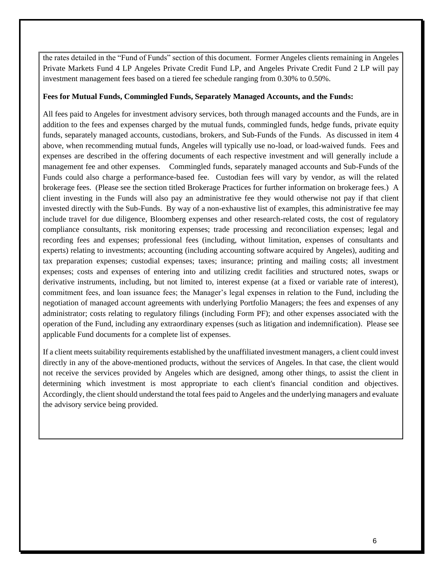the rates detailed in the "Fund of Funds" section of this document. Former Angeles clients remaining in Angeles Private Markets Fund 4 LP Angeles Private Credit Fund LP, and Angeles Private Credit Fund 2 LP will pay investment management fees based on a tiered fee schedule ranging from 0.30% to 0.50%.

#### **Fees for Mutual Funds, Commingled Funds, Separately Managed Accounts, and the Funds:**

All fees paid to Angeles for investment advisory services, both through managed accounts and the Funds, are in addition to the fees and expenses charged by the mutual funds, commingled funds, hedge funds, private equity funds, separately managed accounts, custodians, brokers, and Sub-Funds of the Funds. As discussed in item 4 above, when recommending mutual funds, Angeles will typically use no-load, or load-waived funds. Fees and expenses are described in the offering documents of each respective investment and will generally include a management fee and other expenses. Commingled funds, separately managed accounts and Sub-Funds of the Funds could also charge a performance-based fee. Custodian fees will vary by vendor, as will the related brokerage fees. (Please see the section titled Brokerage Practices for further information on brokerage fees.) A client investing in the Funds will also pay an administrative fee they would otherwise not pay if that client invested directly with the Sub-Funds. By way of a non-exhaustive list of examples, this administrative fee may include travel for due diligence, Bloomberg expenses and other research-related costs, the cost of regulatory compliance consultants, risk monitoring expenses; trade processing and reconciliation expenses; legal and recording fees and expenses; professional fees (including, without limitation, expenses of consultants and experts) relating to investments; accounting (including accounting software acquired by Angeles), auditing and tax preparation expenses; custodial expenses; taxes; insurance; printing and mailing costs; all investment expenses; costs and expenses of entering into and utilizing credit facilities and structured notes, swaps or derivative instruments, including, but not limited to, interest expense (at a fixed or variable rate of interest), commitment fees, and loan issuance fees; the Manager's legal expenses in relation to the Fund, including the negotiation of managed account agreements with underlying Portfolio Managers; the fees and expenses of any administrator; costs relating to regulatory filings (including Form PF); and other expenses associated with the operation of the Fund, including any extraordinary expenses (such as litigation and indemnification). Please see applicable Fund documents for a complete list of expenses.

If a client meets suitability requirements established by the unaffiliated investment managers, a client could invest directly in any of the above-mentioned products, without the services of Angeles. In that case, the client would not receive the services provided by Angeles which are designed, among other things, to assist the client in determining which investment is most appropriate to each client's financial condition and objectives. Accordingly, the client should understand the total fees paid to Angeles and the underlying managers and evaluate the advisory service being provided.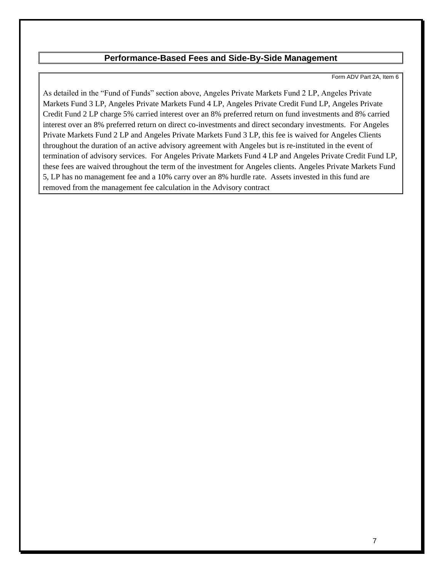### *2B***Performance-Based Fees and Side-By-Side Management**

Form ADV Part 2A, Item 6

<span id="page-9-0"></span>As detailed in the "Fund of Funds" section above, Angeles Private Markets Fund 2 LP, Angeles Private Markets Fund 3 LP, Angeles Private Markets Fund 4 LP, Angeles Private Credit Fund LP, Angeles Private Credit Fund 2 LP charge 5% carried interest over an 8% preferred return on fund investments and 8% carried interest over an 8% preferred return on direct co-investments and direct secondary investments. For Angeles Private Markets Fund 2 LP and Angeles Private Markets Fund 3 LP, this fee is waived for Angeles Clients throughout the duration of an active advisory agreement with Angeles but is re-instituted in the event of termination of advisory services. For Angeles Private Markets Fund 4 LP and Angeles Private Credit Fund LP, these fees are waived throughout the term of the investment for Angeles clients. Angeles Private Markets Fund 5, LP has no management fee and a 10% carry over an 8% hurdle rate. Assets invested in this fund are removed from the management fee calculation in the Advisory contract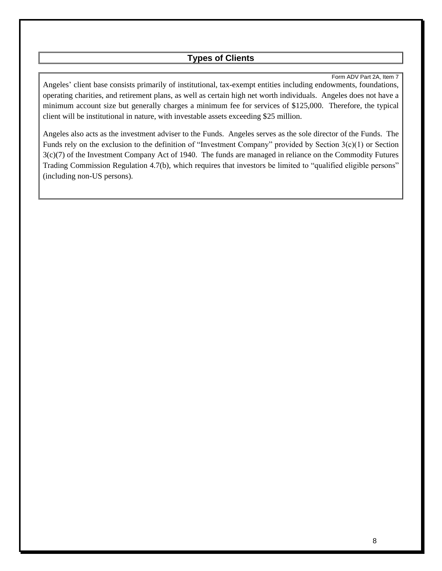### *3B***Types of Clients**

Form ADV Part 2A, Item 7

<span id="page-10-0"></span>Angeles' client base consists primarily of institutional, tax-exempt entities including endowments, foundations, operating charities, and retirement plans, as well as certain high net worth individuals. Angeles does not have a minimum account size but generally charges a minimum fee for services of \$125,000. Therefore, the typical client will be institutional in nature, with investable assets exceeding \$25 million.

Angeles also acts as the investment adviser to the Funds. Angeles serves as the sole director of the Funds. The Funds rely on the exclusion to the definition of "Investment Company" provided by Section 3(c)(1) or Section 3(c)(7) of the Investment Company Act of 1940. The funds are managed in reliance on the Commodity Futures Trading Commission Regulation 4.7(b), which requires that investors be limited to "qualified eligible persons" (including non-US persons).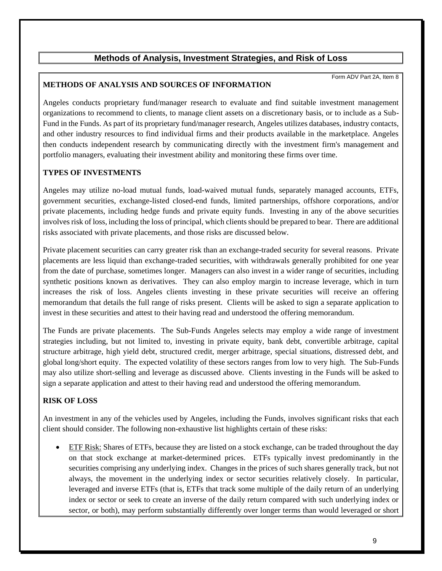## *4B***Methods of Analysis, Investment Strategies, and Risk of Loss**

Form ADV Part 2A, Item 8

### <span id="page-11-0"></span>**METHODS OF ANALYSIS AND SOURCES OF INFORMATION**

Angeles conducts proprietary fund/manager research to evaluate and find suitable investment management organizations to recommend to clients, to manage client assets on a discretionary basis, or to include as a Sub-Fund in the Funds. As part of its proprietary fund/manager research, Angeles utilizes databases, industry contacts, and other industry resources to find individual firms and their products available in the marketplace. Angeles then conducts independent research by communicating directly with the investment firm's management and portfolio managers, evaluating their investment ability and monitoring these firms over time.

### **TYPES OF INVESTMENTS**

Angeles may utilize no-load mutual funds, load-waived mutual funds, separately managed accounts, ETFs, government securities, exchange-listed closed-end funds, limited partnerships, offshore corporations, and/or private placements, including hedge funds and private equity funds. Investing in any of the above securities involves risk of loss, including the loss of principal, which clients should be prepared to bear. There are additional risks associated with private placements, and those risks are discussed below.

Private placement securities can carry greater risk than an exchange-traded security for several reasons. Private placements are less liquid than exchange-traded securities, with withdrawals generally prohibited for one year from the date of purchase, sometimes longer. Managers can also invest in a wider range of securities, including synthetic positions known as derivatives. They can also employ margin to increase leverage, which in turn increases the risk of loss. Angeles clients investing in these private securities will receive an offering memorandum that details the full range of risks present. Clients will be asked to sign a separate application to invest in these securities and attest to their having read and understood the offering memorandum.

The Funds are private placements. The Sub-Funds Angeles selects may employ a wide range of investment strategies including, but not limited to, investing in private equity, bank debt, convertible arbitrage, capital structure arbitrage, high yield debt, structured credit, merger arbitrage, special situations, distressed debt, and global long/short equity. The expected volatility of these sectors ranges from low to very high. The Sub-Funds may also utilize short-selling and leverage as discussed above. Clients investing in the Funds will be asked to sign a separate application and attest to their having read and understood the offering memorandum.

## **RISK OF LOSS**

An investment in any of the vehicles used by Angeles, including the Funds, involves significant risks that each client should consider. The following non-exhaustive list highlights certain of these risks:

• ETF Risk: Shares of ETFs, because they are listed on a stock exchange, can be traded throughout the day on that stock exchange at market-determined prices. ETFs typically invest predominantly in the securities comprising any underlying index. Changes in the prices of such shares generally track, but not always, the movement in the underlying index or sector securities relatively closely. In particular, leveraged and inverse ETFs (that is, ETFs that track some multiple of the daily return of an underlying index or sector or seek to create an inverse of the daily return compared with such underlying index or sector, or both), may perform substantially differently over longer terms than would leveraged or short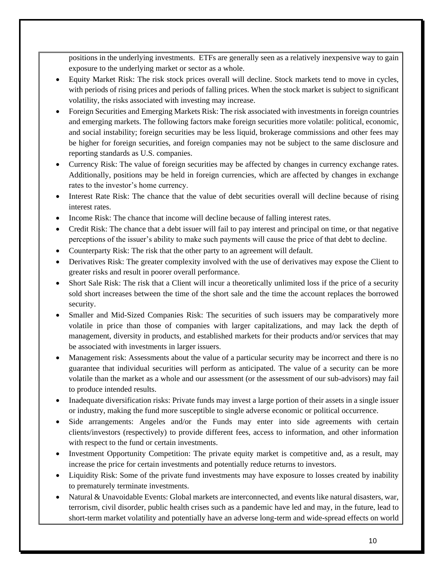positions in the underlying investments. ETFs are generally seen as a relatively inexpensive way to gain exposure to the underlying market or sector as a whole.

- Equity Market Risk: The risk stock prices overall will decline. Stock markets tend to move in cycles, with periods of rising prices and periods of falling prices. When the stock market is subject to significant volatility, the risks associated with investing may increase.
- Foreign Securities and Emerging Markets Risk: The risk associated with investments in foreign countries and emerging markets. The following factors make foreign securities more volatile: political, economic, and social instability; foreign securities may be less liquid, brokerage commissions and other fees may be higher for foreign securities, and foreign companies may not be subject to the same disclosure and reporting standards as U.S. companies.
- Currency Risk: The value of foreign securities may be affected by changes in currency exchange rates. Additionally, positions may be held in foreign currencies, which are affected by changes in exchange rates to the investor's home currency.
- Interest Rate Risk: The chance that the value of debt securities overall will decline because of rising interest rates.
- Income Risk: The chance that income will decline because of falling interest rates.
- Credit Risk: The chance that a debt issuer will fail to pay interest and principal on time, or that negative perceptions of the issuer's ability to make such payments will cause the price of that debt to decline.
- Counterparty Risk: The risk that the other party to an agreement will default.
- Derivatives Risk: The greater complexity involved with the use of derivatives may expose the Client to greater risks and result in poorer overall performance.
- Short Sale Risk: The risk that a Client will incur a theoretically unlimited loss if the price of a security sold short increases between the time of the short sale and the time the account replaces the borrowed security.
- Smaller and Mid-Sized Companies Risk: The securities of such issuers may be comparatively more volatile in price than those of companies with larger capitalizations, and may lack the depth of management, diversity in products, and established markets for their products and/or services that may be associated with investments in larger issuers.
- Management risk: Assessments about the value of a particular security may be incorrect and there is no guarantee that individual securities will perform as anticipated. The value of a security can be more volatile than the market as a whole and our assessment (or the assessment of our sub-advisors) may fail to produce intended results.
- Inadequate diversification risks: Private funds may invest a large portion of their assets in a single issuer or industry, making the fund more susceptible to single adverse economic or political occurrence.
- Side arrangements: Angeles and/or the Funds may enter into side agreements with certain clients/investors (respectively) to provide different fees, access to information, and other information with respect to the fund or certain investments.
- Investment Opportunity Competition: The private equity market is competitive and, as a result, may increase the price for certain investments and potentially reduce returns to investors.
- Liquidity Risk: Some of the private fund investments may have exposure to losses created by inability to prematurely terminate investments.
- Natural & Unavoidable Events: Global markets are interconnected, and events like natural disasters, war, terrorism, civil disorder, public health crises such as a pandemic have led and may, in the future, lead to short-term market volatility and potentially have an adverse long-term and wide-spread effects on world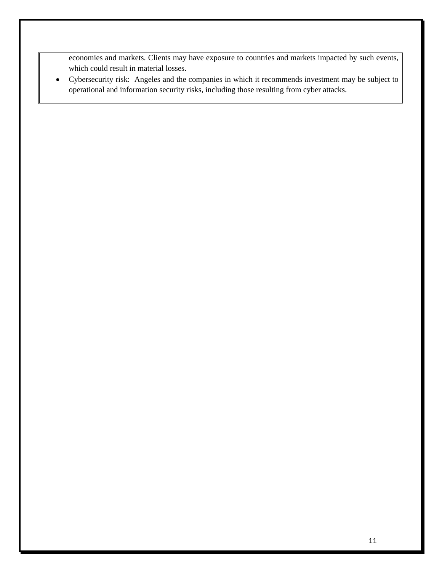economies and markets. Clients may have exposure to countries and markets impacted by such events, which could result in material losses.

• Cybersecurity risk: Angeles and the companies in which it recommends investment may be subject to operational and information security risks, including those resulting from cyber attacks.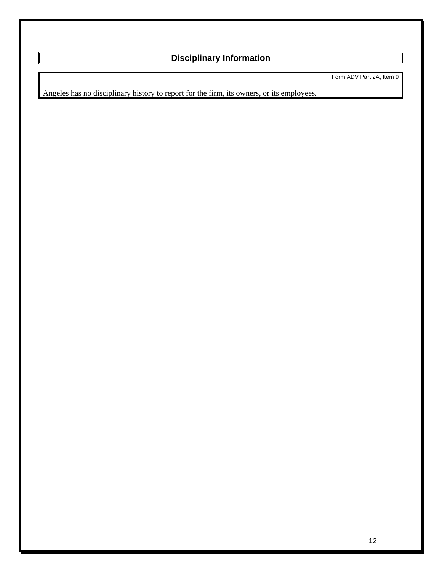# **Disciplinary Information**

Form ADV Part 2A, Item 9

<span id="page-14-0"></span>Angeles has no disciplinary history to report for the firm, its owners, or its employees.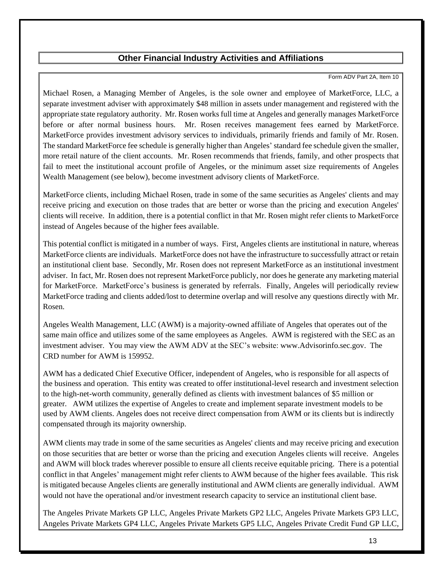## *6B***Other Financial Industry Activities and Affiliations**

Form ADV Part 2A, Item 10

<span id="page-15-0"></span>Michael Rosen, a Managing Member of Angeles, is the sole owner and employee of MarketForce, LLC, a separate investment adviser with approximately \$48 million in assets under management and registered with the appropriate state regulatory authority. Mr. Rosen works full time at Angeles and generally manages MarketForce before or after normal business hours. Mr. Rosen receives management fees earned by MarketForce. MarketForce provides investment advisory services to individuals, primarily friends and family of Mr. Rosen. The standard MarketForce fee schedule is generally higher than Angeles' standard fee schedule given the smaller, more retail nature of the client accounts. Mr. Rosen recommends that friends, family, and other prospects that fail to meet the institutional account profile of Angeles, or the minimum asset size requirements of Angeles Wealth Management (see below), become investment advisory clients of MarketForce.

MarketForce clients, including Michael Rosen, trade in some of the same securities as Angeles' clients and may receive pricing and execution on those trades that are better or worse than the pricing and execution Angeles' clients will receive. In addition, there is a potential conflict in that Mr. Rosen might refer clients to MarketForce instead of Angeles because of the higher fees available.

This potential conflict is mitigated in a number of ways. First, Angeles clients are institutional in nature, whereas MarketForce clients are individuals. MarketForce does not have the infrastructure to successfully attract or retain an institutional client base. Secondly, Mr. Rosen does not represent MarketForce as an institutional investment adviser. In fact, Mr. Rosen does not represent MarketForce publicly, nor does he generate any marketing material for MarketForce. MarketForce's business is generated by referrals. Finally, Angeles will periodically review MarketForce trading and clients added/lost to determine overlap and will resolve any questions directly with Mr. Rosen.

Angeles Wealth Management, LLC (AWM) is a majority-owned affiliate of Angeles that operates out of the same main office and utilizes some of the same employees as Angeles. AWM is registered with the SEC as an investment adviser. You may view the AWM ADV at the SEC's website: [www.Advisorinfo.sec.gov.](http://www.adviserinfo.sec.gov/) The CRD number for AWM is 159952.

AWM has a dedicated Chief Executive Officer, independent of Angeles, who is responsible for all aspects of the business and operation. This entity was created to offer institutional-level research and investment selection to the high-net-worth community, generally defined as clients with investment balances of \$5 million or greater. AWM utilizes the expertise of Angeles to create and implement separate investment models to be used by AWM clients. Angeles does not receive direct compensation from AWM or its clients but is indirectly compensated through its majority ownership.

AWM clients may trade in some of the same securities as Angeles' clients and may receive pricing and execution on those securities that are better or worse than the pricing and execution Angeles clients will receive. Angeles and AWM will block trades wherever possible to ensure all clients receive equitable pricing. There is a potential conflict in that Angeles' management might refer clients to AWM because of the higher fees available. This risk is mitigated because Angeles clients are generally institutional and AWM clients are generally individual. AWM would not have the operational and/or investment research capacity to service an institutional client base.

The Angeles Private Markets GP LLC, Angeles Private Markets GP2 LLC, Angeles Private Markets GP3 LLC, Angeles Private Markets GP4 LLC, Angeles Private Markets GP5 LLC, Angeles Private Credit Fund GP LLC,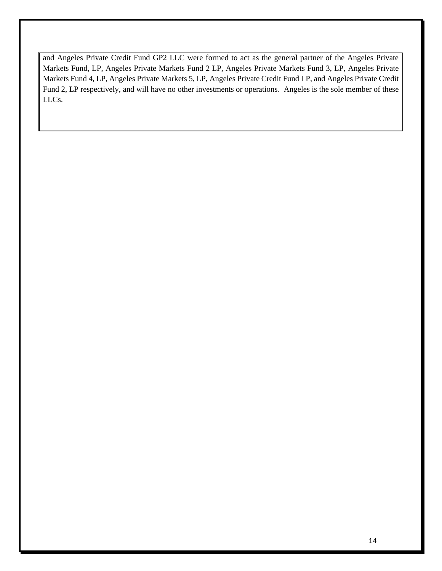and Angeles Private Credit Fund GP2 LLC were formed to act as the general partner of the Angeles Private Markets Fund, LP, Angeles Private Markets Fund 2 LP, Angeles Private Markets Fund 3, LP, Angeles Private Markets Fund 4, LP, Angeles Private Markets 5, LP, Angeles Private Credit Fund LP, and Angeles Private Credit Fund 2, LP respectively, and will have no other investments or operations. Angeles is the sole member of these LLCs.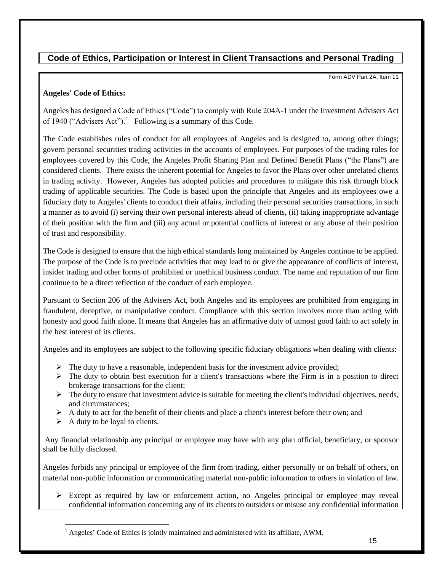## <span id="page-17-0"></span>*7B***Code of Ethics, Participation or Interest in Client Transactions and Personal Trading**

Form ADV Part 2A, Item 11

#### **Angeles' Code of Ethics:**

Angeles has designed a Code of Ethics ("Code") to comply with Rule 204A-1 under the Investment Advisers Act of 1940 ("Advisers Act").<sup>1</sup> Following is a summary of this Code.

The Code establishes rules of conduct for all employees of Angeles and is designed to, among other things; govern personal securities trading activities in the accounts of employees. For purposes of the trading rules for employees covered by this Code, the Angeles Profit Sharing Plan and Defined Benefit Plans ("the Plans") are considered clients. There exists the inherent potential for Angeles to favor the Plans over other unrelated clients in trading activity. However, Angeles has adopted policies and procedures to mitigate this risk through block trading of applicable securities. The Code is based upon the principle that Angeles and its employees owe a fiduciary duty to Angeles' clients to conduct their affairs, including their personal securities transactions, in such a manner as to avoid (i) serving their own personal interests ahead of clients, (ii) taking inappropriate advantage of their position with the firm and (iii) any actual or potential conflicts of interest or any abuse of their position of trust and responsibility.

The Code is designed to ensure that the high ethical standards long maintained by Angeles continue to be applied. The purpose of the Code is to preclude activities that may lead to or give the appearance of conflicts of interest, insider trading and other forms of prohibited or unethical business conduct. The name and reputation of our firm continue to be a direct reflection of the conduct of each employee.

Pursuant to Section 206 of the Advisers Act, both Angeles and its employees are prohibited from engaging in fraudulent, deceptive, or manipulative conduct. Compliance with this section involves more than acting with honesty and good faith alone. It means that Angeles has an affirmative duty of utmost good faith to act solely in the best interest of its clients.

Angeles and its employees are subject to the following specific fiduciary obligations when dealing with clients:

- $\triangleright$  The duty to have a reasonable, independent basis for the investment advice provided;
- ➢ The duty to obtain best execution for a client's transactions where the Firm is in a position to direct brokerage transactions for the client;
- $\triangleright$  The duty to ensure that investment advice is suitable for meeting the client's individual objectives, needs, and circumstances;
- ➢ A duty to act for the benefit of their clients and place a client's interest before their own; and
- $\triangleright$  A duty to be loyal to clients.

Any financial relationship any principal or employee may have with any plan official, beneficiary, or sponsor shall be fully disclosed.

Angeles forbids any principal or employee of the firm from trading, either personally or on behalf of others, on material non-public information or communicating material non-public information to others in violation of law.

➢ Except as required by law or enforcement action, no Angeles principal or employee may reveal confidential information concerning any of its clients to outsiders or misuse any confidential information

<sup>1</sup> Angeles' Code of Ethics is jointly maintained and administered with its affiliate, AWM.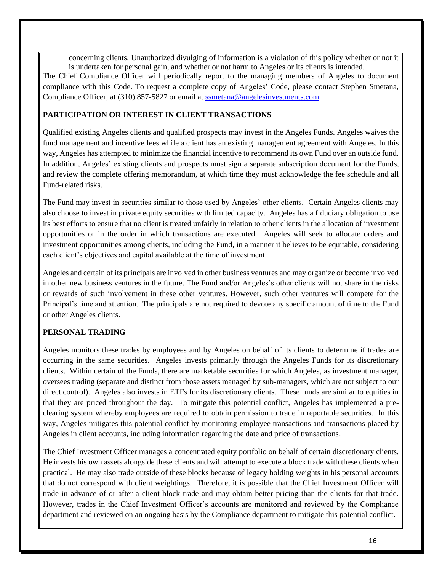concerning clients. Unauthorized divulging of information is a violation of this policy whether or not it is undertaken for personal gain, and whether or not harm to Angeles or its clients is intended.

The Chief Compliance Officer will periodically report to the managing members of Angeles to document compliance with this Code. To request a complete copy of Angeles' Code, please contact Stephen Smetana, Compliance Officer, at (310) 857-5827 or email at [ssmetana@angelesinvestments.com.](mailto:ssmetana@angelesinvestments.com)

#### **PARTICIPATION OR INTEREST IN CLIENT TRANSACTIONS**

Qualified existing Angeles clients and qualified prospects may invest in the Angeles Funds. Angeles waives the fund management and incentive fees while a client has an existing management agreement with Angeles. In this way, Angeles has attempted to minimize the financial incentive to recommend its own Fund over an outside fund. In addition, Angeles' existing clients and prospects must sign a separate subscription document for the Funds, and review the complete offering memorandum, at which time they must acknowledge the fee schedule and all Fund-related risks.

The Fund may invest in securities similar to those used by Angeles' other clients. Certain Angeles clients may also choose to invest in private equity securities with limited capacity. Angeles has a fiduciary obligation to use its best efforts to ensure that no client is treated unfairly in relation to other clients in the allocation of investment opportunities or in the order in which transactions are executed. Angeles will seek to allocate orders and investment opportunities among clients, including the Fund, in a manner it believes to be equitable, considering each client's objectives and capital available at the time of investment.

Angeles and certain of its principals are involved in other business ventures and may organize or become involved in other new business ventures in the future. The Fund and/or Angeles's other clients will not share in the risks or rewards of such involvement in these other ventures. However, such other ventures will compete for the Principal's time and attention. The principals are not required to devote any specific amount of time to the Fund or other Angeles clients.

### **PERSONAL TRADING**

Angeles monitors these trades by employees and by Angeles on behalf of its clients to determine if trades are occurring in the same securities. Angeles invests primarily through the Angeles Funds for its discretionary clients. Within certain of the Funds, there are marketable securities for which Angeles, as investment manager, oversees trading (separate and distinct from those assets managed by sub-managers, which are not subject to our direct control). Angeles also invests in ETFs for its discretionary clients. These funds are similar to equities in that they are priced throughout the day. To mitigate this potential conflict, Angeles has implemented a preclearing system whereby employees are required to obtain permission to trade in reportable securities. In this way, Angeles mitigates this potential conflict by monitoring employee transactions and transactions placed by Angeles in client accounts, including information regarding the date and price of transactions.

The Chief Investment Officer manages a concentrated equity portfolio on behalf of certain discretionary clients. He invests his own assets alongside these clients and will attempt to execute a block trade with these clients when practical. He may also trade outside of these blocks because of legacy holding weights in his personal accounts that do not correspond with client weightings. Therefore, it is possible that the Chief Investment Officer will trade in advance of or after a client block trade and may obtain better pricing than the clients for that trade. However, trades in the Chief Investment Officer's accounts are monitored and reviewed by the Compliance department and reviewed on an ongoing basis by the Compliance department to mitigate this potential conflict.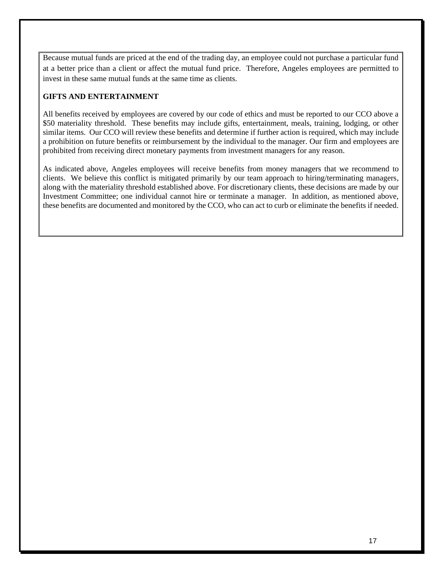Because mutual funds are priced at the end of the trading day, an employee could not purchase a particular fund at a better price than a client or affect the mutual fund price. Therefore, Angeles employees are permitted to invest in these same mutual funds at the same time as clients.

#### **GIFTS AND ENTERTAINMENT**

All benefits received by employees are covered by our code of ethics and must be reported to our CCO above a \$50 materiality threshold. These benefits may include gifts, entertainment, meals, training, lodging, or other similar items. Our CCO will review these benefits and determine if further action is required, which may include a prohibition on future benefits or reimbursement by the individual to the manager. Our firm and employees are prohibited from receiving direct monetary payments from investment managers for any reason.

As indicated above, Angeles employees will receive benefits from money managers that we recommend to clients. We believe this conflict is mitigated primarily by our team approach to hiring/terminating managers, along with the materiality threshold established above. For discretionary clients, these decisions are made by our Investment Committee; one individual cannot hire or terminate a manager. In addition, as mentioned above, these benefits are documented and monitored by the CCO, who can act to curb or eliminate the benefits if needed.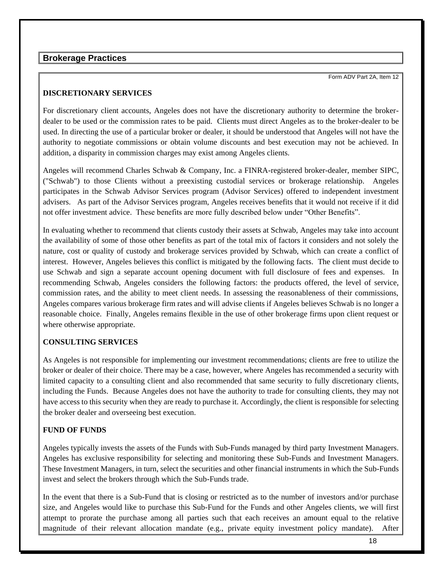### <span id="page-20-0"></span>*8B***Brokerage Practices**

Form ADV Part 2A, Item 12

#### **DISCRETIONARY SERVICES**

For discretionary client accounts, Angeles does not have the discretionary authority to determine the brokerdealer to be used or the commission rates to be paid. Clients must direct Angeles as to the broker-dealer to be used. In directing the use of a particular broker or dealer, it should be understood that Angeles will not have the authority to negotiate commissions or obtain volume discounts and best execution may not be achieved. In addition, a disparity in commission charges may exist among Angeles clients.

Angeles will recommend Charles Schwab & Company, Inc. a FINRA-registered broker-dealer, member SIPC, ("Schwab") to those Clients without a preexisting custodial services or brokerage relationship. Angeles participates in the Schwab Advisor Services program (Advisor Services) offered to independent investment advisers. As part of the Advisor Services program, Angeles receives benefits that it would not receive if it did not offer investment advice. These benefits are more fully described below under "Other Benefits".

In evaluating whether to recommend that clients custody their assets at Schwab, Angeles may take into account the availability of some of those other benefits as part of the total mix of factors it considers and not solely the nature, cost or quality of custody and brokerage services provided by Schwab, which can create a conflict of interest. However, Angeles believes this conflict is mitigated by the following facts. The client must decide to use Schwab and sign a separate account opening document with full disclosure of fees and expenses. In recommending Schwab, Angeles considers the following factors: the products offered, the level of service, commission rates, and the ability to meet client needs. In assessing the reasonableness of their commissions, Angeles compares various brokerage firm rates and will advise clients if Angeles believes Schwab is no longer a reasonable choice. Finally, Angeles remains flexible in the use of other brokerage firms upon client request or where otherwise appropriate.

### **CONSULTING SERVICES**

As Angeles is not responsible for implementing our investment recommendations; clients are free to utilize the broker or dealer of their choice. There may be a case, however, where Angeles has recommended a security with limited capacity to a consulting client and also recommended that same security to fully discretionary clients, including the Funds. Because Angeles does not have the authority to trade for consulting clients, they may not have access to this security when they are ready to purchase it. Accordingly, the client is responsible for selecting the broker dealer and overseeing best execution.

#### **FUND OF FUNDS**

Angeles typically invests the assets of the Funds with Sub-Funds managed by third party Investment Managers. Angeles has exclusive responsibility for selecting and monitoring these Sub-Funds and Investment Managers. These Investment Managers, in turn, select the securities and other financial instruments in which the Sub-Funds invest and select the brokers through which the Sub-Funds trade.

In the event that there is a Sub-Fund that is closing or restricted as to the number of investors and/or purchase size, and Angeles would like to purchase this Sub-Fund for the Funds and other Angeles clients, we will first attempt to prorate the purchase among all parties such that each receives an amount equal to the relative magnitude of their relevant allocation mandate (e.g., private equity investment policy mandate). After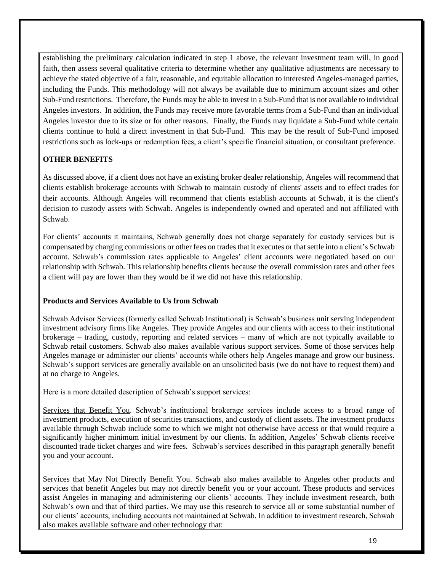establishing the preliminary calculation indicated in step 1 above, the relevant investment team will, in good faith, then assess several qualitative criteria to determine whether any qualitative adjustments are necessary to achieve the stated objective of a fair, reasonable, and equitable allocation to interested Angeles-managed parties, including the Funds. This methodology will not always be available due to minimum account sizes and other Sub-Fund restrictions. Therefore, the Funds may be able to invest in a Sub-Fund that is not available to individual Angeles investors. In addition, the Funds may receive more favorable terms from a Sub-Fund than an individual Angeles investor due to its size or for other reasons. Finally, the Funds may liquidate a Sub-Fund while certain clients continue to hold a direct investment in that Sub-Fund. This may be the result of Sub-Fund imposed restrictions such as lock-ups or redemption fees, a client's specific financial situation, or consultant preference.

### **OTHER BENEFITS**

As discussed above, if a client does not have an existing broker dealer relationship, Angeles will recommend that clients establish brokerage accounts with Schwab to maintain custody of clients' assets and to effect trades for their accounts. Although Angeles will recommend that clients establish accounts at Schwab, it is the client's decision to custody assets with Schwab. Angeles is independently owned and operated and not affiliated with Schwab.

For clients' accounts it maintains, Schwab generally does not charge separately for custody services but is compensated by charging commissions or other fees on trades that it executes or that settle into a client's Schwab account. Schwab's commission rates applicable to Angeles' client accounts were negotiated based on our relationship with Schwab. This relationship benefits clients because the overall commission rates and other fees a client will pay are lower than they would be if we did not have this relationship.

#### **Products and Services Available to Us from Schwab**

Schwab Advisor Services (formerly called Schwab Institutional) is Schwab's business unit serving independent investment advisory firms like Angeles. They provide Angeles and our clients with access to their institutional brokerage – trading, custody, reporting and related services – many of which are not typically available to Schwab retail customers. Schwab also makes available various support services. Some of those services help Angeles manage or administer our clients' accounts while others help Angeles manage and grow our business. Schwab's support services are generally available on an unsolicited basis (we do not have to request them) and at no charge to Angeles.

Here is a more detailed description of Schwab's support services:

Services that Benefit You. Schwab's institutional brokerage services include access to a broad range of investment products, execution of securities transactions, and custody of client assets. The investment products available through Schwab include some to which we might not otherwise have access or that would require a significantly higher minimum initial investment by our clients. In addition, Angeles' Schwab clients receive discounted trade ticket charges and wire fees. Schwab's services described in this paragraph generally benefit you and your account.

Services that May Not Directly Benefit You. Schwab also makes available to Angeles other products and services that benefit Angeles but may not directly benefit you or your account. These products and services assist Angeles in managing and administering our clients' accounts. They include investment research, both Schwab's own and that of third parties. We may use this research to service all or some substantial number of our clients' accounts, including accounts not maintained at Schwab. In addition to investment research, Schwab also makes available software and other technology that: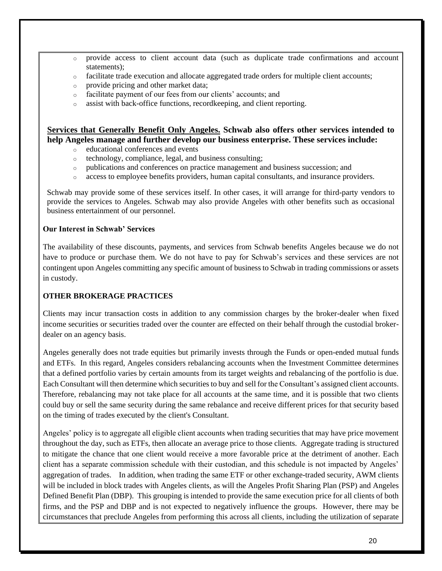- o provide access to client account data (such as duplicate trade confirmations and account statements);
- $\circ$  facilitate trade execution and allocate aggregated trade orders for multiple client accounts;
- o provide pricing and other market data;
- o facilitate payment of our fees from our clients' accounts; and
- assist with back-office functions, recordkeeping, and client reporting.

**Services that Generally Benefit Only Angeles. Schwab also offers other services intended to help Angeles manage and further develop our business enterprise. These services include:**

- o educational conferences and events
- o technology, compliance, legal, and business consulting;
- o publications and conferences on practice management and business succession; and
- o access to employee benefits providers, human capital consultants, and insurance providers.

Schwab may provide some of these services itself. In other cases, it will arrange for third-party vendors to provide the services to Angeles. Schwab may also provide Angeles with other benefits such as occasional business entertainment of our personnel.

#### **Our Interest in Schwab' Services**

The availability of these discounts, payments, and services from Schwab benefits Angeles because we do not have to produce or purchase them. We do not have to pay for Schwab's services and these services are not contingent upon Angeles committing any specific amount of business to Schwab in trading commissions or assets in custody.

#### **OTHER BROKERAGE PRACTICES**

Clients may incur transaction costs in addition to any commission charges by the broker-dealer when fixed income securities or securities traded over the counter are effected on their behalf through the custodial brokerdealer on an agency basis.

Angeles generally does not trade equities but primarily invests through the Funds or open-ended mutual funds and ETFs. In this regard, Angeles considers rebalancing accounts when the Investment Committee determines that a defined portfolio varies by certain amounts from its target weights and rebalancing of the portfolio is due. Each Consultant will then determine which securities to buy and sell for the Consultant's assigned client accounts. Therefore, rebalancing may not take place for all accounts at the same time, and it is possible that two clients could buy or sell the same security during the same rebalance and receive different prices for that security based on the timing of trades executed by the client's Consultant.

Angeles' policy is to aggregate all eligible client accounts when trading securities that may have price movement throughout the day, such as ETFs, then allocate an average price to those clients. Aggregate trading is structured to mitigate the chance that one client would receive a more favorable price at the detriment of another. Each client has a separate commission schedule with their custodian, and this schedule is not impacted by Angeles' aggregation of trades. In addition, when trading the same ETF or other exchange-traded security, AWM clients will be included in block trades with Angeles clients, as will the Angeles Profit Sharing Plan (PSP) and Angeles Defined Benefit Plan (DBP). This grouping is intended to provide the same execution price for all clients of both firms, and the PSP and DBP and is not expected to negatively influence the groups. However, there may be circumstances that preclude Angeles from performing this across all clients, including the utilization of separate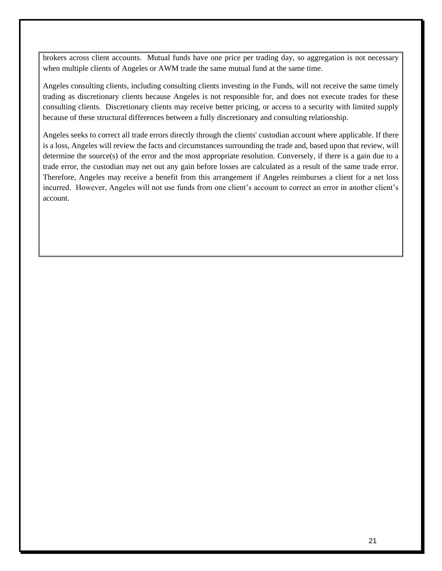brokers across client accounts. Mutual funds have one price per trading day, so aggregation is not necessary when multiple clients of Angeles or AWM trade the same mutual fund at the same time.

Angeles consulting clients, including consulting clients investing in the Funds, will not receive the same timely trading as discretionary clients because Angeles is not responsible for, and does not execute trades for these consulting clients. Discretionary clients may receive better pricing, or access to a security with limited supply because of these structural differences between a fully discretionary and consulting relationship.

Angeles seeks to correct all trade errors directly through the clients' custodian account where applicable. If there is a loss, Angeles will review the facts and circumstances surrounding the trade and, based upon that review, will determine the source(s) of the error and the most appropriate resolution. Conversely, if there is a gain due to a trade error, the custodian may net out any gain before losses are calculated as a result of the same trade error. Therefore, Angeles may receive a benefit from this arrangement if Angeles reimburses a client for a net loss incurred. However, Angeles will not use funds from one client's account to correct an error in another client's account.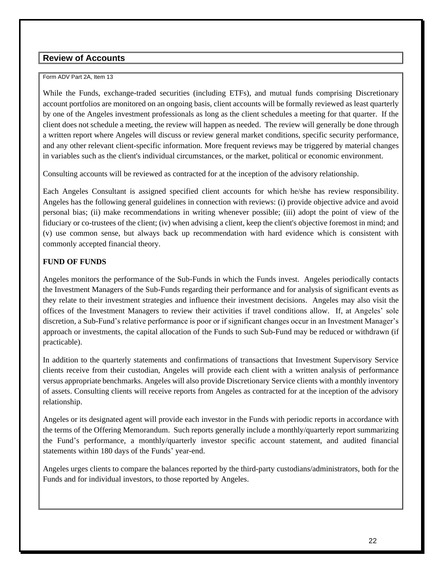### <span id="page-24-0"></span>*9B***Review of Accounts**

#### Form ADV Part 2A, Item 13

While the Funds, exchange-traded securities (including ETFs), and mutual funds comprising Discretionary account portfolios are monitored on an ongoing basis, client accounts will be formally reviewed as least quarterly by one of the Angeles investment professionals as long as the client schedules a meeting for that quarter. If the client does not schedule a meeting, the review will happen as needed. The review will generally be done through a written report where Angeles will discuss or review general market conditions, specific security performance, and any other relevant client-specific information. More frequent reviews may be triggered by material changes in variables such as the client's individual circumstances, or the market, political or economic environment.

Consulting accounts will be reviewed as contracted for at the inception of the advisory relationship.

Each Angeles Consultant is assigned specified client accounts for which he/she has review responsibility. Angeles has the following general guidelines in connection with reviews: (i) provide objective advice and avoid personal bias; (ii) make recommendations in writing whenever possible; (iii) adopt the point of view of the fiduciary or co-trustees of the client; (iv) when advising a client, keep the client's objective foremost in mind; and (v) use common sense, but always back up recommendation with hard evidence which is consistent with commonly accepted financial theory.

### **FUND OF FUNDS**

Angeles monitors the performance of the Sub-Funds in which the Funds invest. Angeles periodically contacts the Investment Managers of the Sub-Funds regarding their performance and for analysis of significant events as they relate to their investment strategies and influence their investment decisions. Angeles may also visit the offices of the Investment Managers to review their activities if travel conditions allow. If, at Angeles' sole discretion, a Sub-Fund's relative performance is poor or if significant changes occur in an Investment Manager's approach or investments, the capital allocation of the Funds to such Sub-Fund may be reduced or withdrawn (if practicable).

In addition to the quarterly statements and confirmations of transactions that Investment Supervisory Service clients receive from their custodian, Angeles will provide each client with a written analysis of performance versus appropriate benchmarks. Angeles will also provide Discretionary Service clients with a monthly inventory of assets. Consulting clients will receive reports from Angeles as contracted for at the inception of the advisory relationship.

Angeles or its designated agent will provide each investor in the Funds with periodic reports in accordance with the terms of the Offering Memorandum. Such reports generally include a monthly/quarterly report summarizing the Fund's performance, a monthly/quarterly investor specific account statement, and audited financial statements within 180 days of the Funds' year-end.

Angeles urges clients to compare the balances reported by the third-party custodians/administrators, both for the Funds and for individual investors, to those reported by Angeles.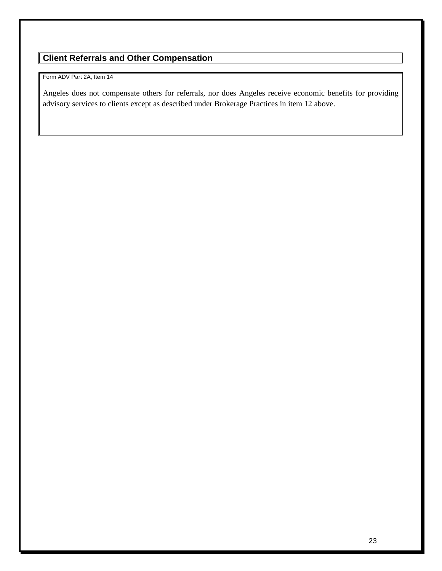## <span id="page-25-0"></span>**Client Referrals and Other Compensation**

#### Form ADV Part 2A, Item 14

Angeles does not compensate others for referrals, nor does Angeles receive economic benefits for providing advisory services to clients except as described under Brokerage Practices in item 12 above.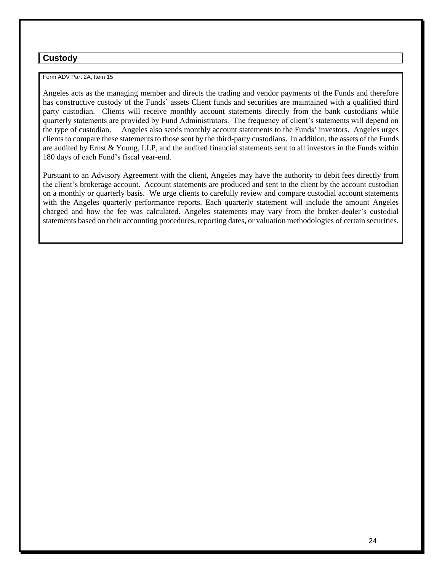### <span id="page-26-0"></span>*1B***Custody**

#### Form ADV Part 2A, Item 15

Angeles acts as the managing member and directs the trading and vendor payments of the Funds and therefore has constructive custody of the Funds' assets Client funds and securities are maintained with a qualified third party custodian. Clients will receive monthly account statements directly from the bank custodians while quarterly statements are provided by Fund Administrators. The frequency of client's statements will depend on the type of custodian. Angeles also sends monthly account statements to the Funds' investors. Angeles urges clients to compare these statements to those sent by the third-party custodians. In addition, the assets of the Funds are audited by Ernst & Young, LLP, and the audited financial statements sent to all investors in the Funds within 180 days of each Fund's fiscal year-end.

Pursuant to an Advisory Agreement with the client, Angeles may have the authority to debit fees directly from the client's brokerage account. Account statements are produced and sent to the client by the account custodian on a monthly or quarterly basis. We urge clients to carefully review and compare custodial account statements with the Angeles quarterly performance reports. Each quarterly statement will include the amount Angeles charged and how the fee was calculated. Angeles statements may vary from the broker-dealer's custodial statements based on their accounting procedures, reporting dates, or valuation methodologies of certain securities.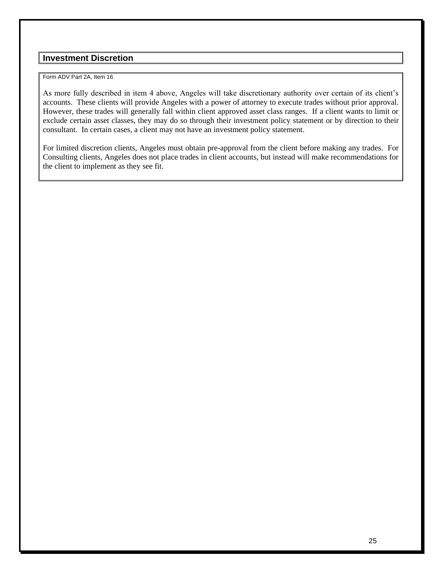## <span id="page-27-0"></span>**Investment Discretion**

Form ADV Part 2A, Item 16

As more fully described in item 4 above, Angeles will take discretionary authority over certain of its client's accounts. These clients will provide Angeles with a power of attorney to execute trades without prior approval. However, these trades will generally fall within client approved asset class ranges. If a client wants to limit or exclude certain asset classes, they may do so through their investment policy statement or by direction to their consultant. In certain cases, a client may not have an investment policy statement.

For limited discretion clients, Angeles must obtain pre-approval from the client before making any trades. For Consulting clients, Angeles does not place trades in client accounts, but instead will make recommendations for the client to implement as they see fit.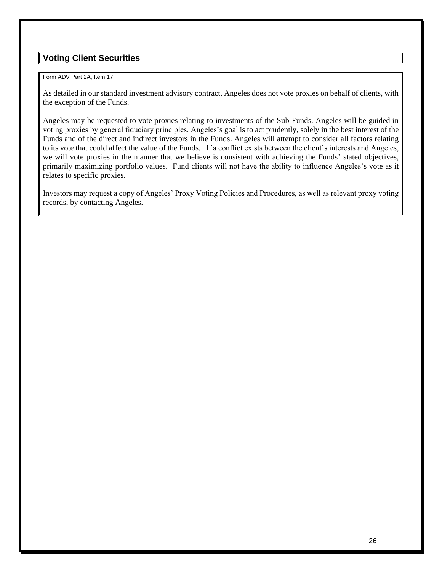## <span id="page-28-0"></span>*13B***Voting Client Securities**

Form ADV Part 2A, Item 17

As detailed in our standard investment advisory contract, Angeles does not vote proxies on behalf of clients, with the exception of the Funds.

Angeles may be requested to vote proxies relating to investments of the Sub-Funds. Angeles will be guided in voting proxies by general fiduciary principles. Angeles's goal is to act prudently, solely in the best interest of the Funds and of the direct and indirect investors in the Funds. Angeles will attempt to consider all factors relating to its vote that could affect the value of the Funds. If a conflict exists between the client's interests and Angeles, we will vote proxies in the manner that we believe is consistent with achieving the Funds' stated objectives, primarily maximizing portfolio values. Fund clients will not have the ability to influence Angeles's vote as it relates to specific proxies.

Investors may request a copy of Angeles' Proxy Voting Policies and Procedures, as well as relevant proxy voting records, by contacting Angeles.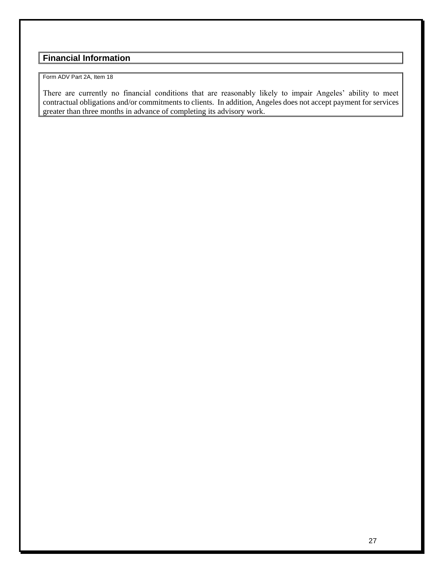## <span id="page-29-0"></span>**Financial Information**

#### Form ADV Part 2A, Item 18

There are currently no financial conditions that are reasonably likely to impair Angeles' ability to meet contractual obligations and/or commitments to clients. In addition, Angeles does not accept payment for services greater than three months in advance of completing its advisory work.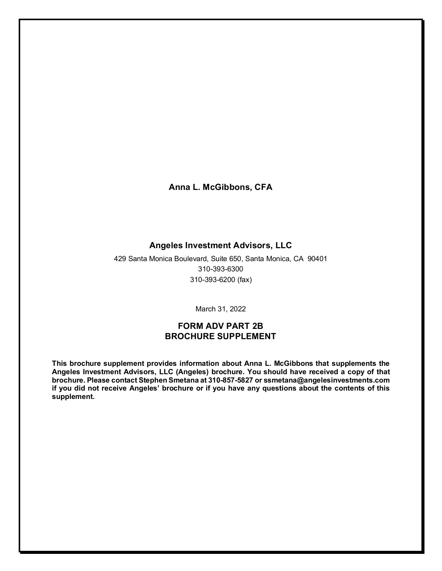**Anna L. McGibbons, CFA**

### **Angeles Investment Advisors, LLC**

429 Santa Monica Boulevard, Suite 650, Santa Monica, CA 90401 310-393-6300 310-393-6200 (fax)

March 31, 2022

### **FORM ADV PART 2B BROCHURE SUPPLEMENT**

**This brochure supplement provides information about Anna L. McGibbons that supplements the Angeles Investment Advisors, LLC (Angeles) brochure. You should have received a copy of that brochure. Please contact Stephen Smetana at 310-857-5827 or ssmetana@angelesinvestments.com if you did not receive Angeles' brochure or if you have any questions about the contents of this supplement.**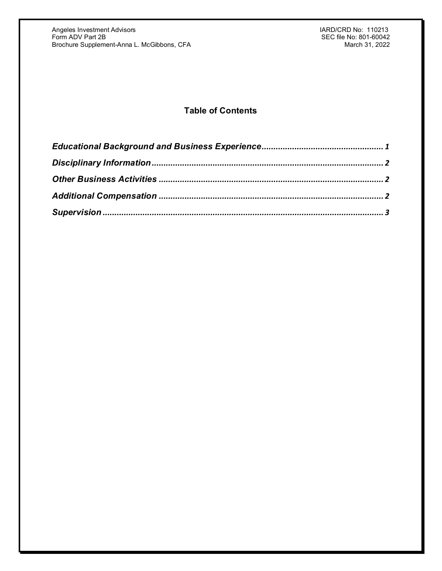## **Table of Contents**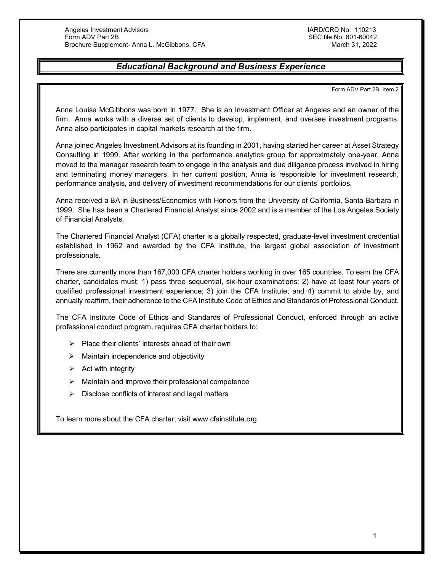### *Educational Background and Business Experience*

Form ADV Part 2B, Item 2

<span id="page-32-0"></span>Anna Louise McGibbons was born in 1977. She is an Investment Officer at Angeles and an owner of the firm. Anna works with a diverse set of clients to develop, implement, and oversee investment programs. Anna also participates in capital markets research at the firm.

Anna joined Angeles Investment Advisors at its founding in 2001, having started her career at Asset Strategy Consulting in 1999. After working in the performance analytics group for approximately one-year, Anna moved to the manager research team to engage in the analysis and due diligence process involved in hiring and terminating money managers. In her current position, Anna is responsible for investment research, performance analysis, and delivery of investment recommendations for our clients' portfolios.

Anna received a BA in Business/Economics with Honors from the University of California, Santa Barbara in 1999. She has been a Chartered Financial Analyst since 2002 and is a member of the Los Angeles Society of Financial Analysts.

The Chartered Financial Analyst (CFA) charter is a globally respected, graduate-level investment credential established in 1962 and awarded by the CFA Institute, the largest global association of investment professionals.

There are currently more than 167,000 CFA charter holders working in over 165 countries. To earn the CFA charter, candidates must: 1) pass three sequential, six-hour examinations; 2) have at least four years of qualified professional investment experience; 3) join the CFA Institute; and 4) commit to abide by, and annually reaffirm, their adherence to the CFA Institute Code of Ethics and Standards of Professional Conduct.

The CFA Institute Code of Ethics and Standards of Professional Conduct, enforced through an active professional conduct program, requires CFA charter holders to:

- $\triangleright$  Place their clients' interests ahead of their own
- $\triangleright$  Maintain independence and objectivity
- $\triangleright$  Act with integrity
- $\triangleright$  Maintain and improve their professional competence
- $\triangleright$  Disclose conflicts of interest and legal matters

To learn more about the CFA charter, visit www.cfainstitute.org.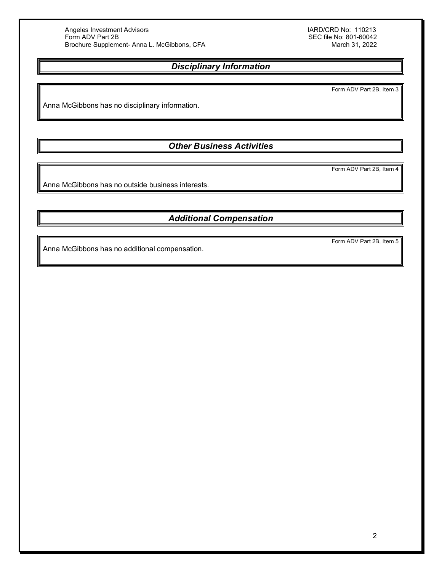SEC file No: 801-60042<br>March 31, 2022

## *Disciplinary Information*

Form ADV Part 2B, Item 3

<span id="page-33-1"></span><span id="page-33-0"></span>Anna McGibbons has no disciplinary information.

## *Other Business Activities*

Form ADV Part 2B, Item 4

Anna McGibbons has no outside business interests.

## *Additional Compensation*

<span id="page-33-2"></span>Anna McGibbons has no additional compensation.

Form ADV Part 2B, Item 5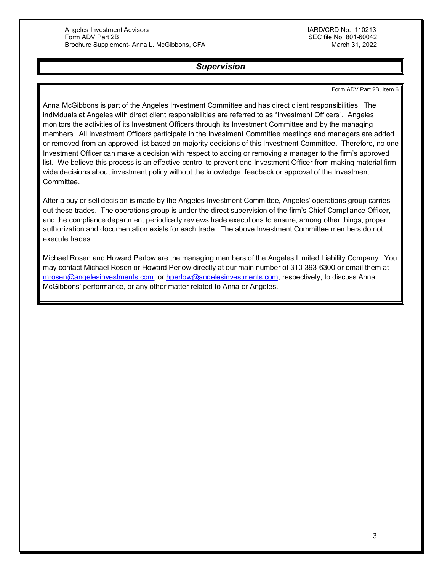### *Supervision*

Form ADV Part 2B, Item 6

<span id="page-34-0"></span>Anna McGibbons is part of the Angeles Investment Committee and has direct client responsibilities. The individuals at Angeles with direct client responsibilities are referred to as "Investment Officers". Angeles monitors the activities of its Investment Officers through its Investment Committee and by the managing members. All Investment Officers participate in the Investment Committee meetings and managers are added or removed from an approved list based on majority decisions of this Investment Committee. Therefore, no one Investment Officer can make a decision with respect to adding or removing a manager to the firm's approved list. We believe this process is an effective control to prevent one Investment Officer from making material firmwide decisions about investment policy without the knowledge, feedback or approval of the Investment Committee.

After a buy or sell decision is made by the Angeles Investment Committee, Angeles' operations group carries out these trades. The operations group is under the direct supervision of the firm's Chief Compliance Officer, and the compliance department periodically reviews trade executions to ensure, among other things, proper authorization and documentation exists for each trade. The above Investment Committee members do not execute trades.

Michael Rosen and Howard Perlow are the managing members of the Angeles Limited Liability Company. You may contact Michael Rosen or Howard Perlow directly at our main number of 310-393-6300 or email them at [mrosen@angelesinvestments.com,](mailto:mrosen@angelesadvisors.com) or [hperlow@angelesinvestments.com,](mailto:hperlow@angelesadvisors.com) respectively, to discuss Anna McGibbons' performance, or any other matter related to Anna or Angeles.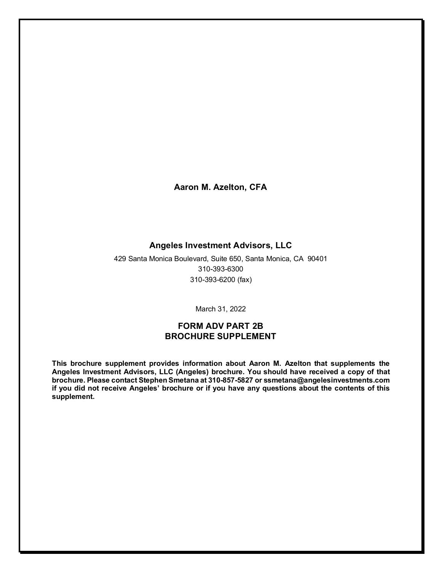**Aaron M. Azelton, CFA**

### **Angeles Investment Advisors, LLC**

429 Santa Monica Boulevard, Suite 650, Santa Monica, CA 90401 310-393-6300 310-393-6200 (fax)

March 31, 2022

### **FORM ADV PART 2B BROCHURE SUPPLEMENT**

**This brochure supplement provides information about Aaron M. Azelton that supplements the Angeles Investment Advisors, LLC (Angeles) brochure. You should have received a copy of that brochure. Please contact Stephen Smetana at 310-857-5827 or ssmetana@angelesinvestments.com if you did not receive Angeles' brochure or if you have any questions about the contents of this supplement.**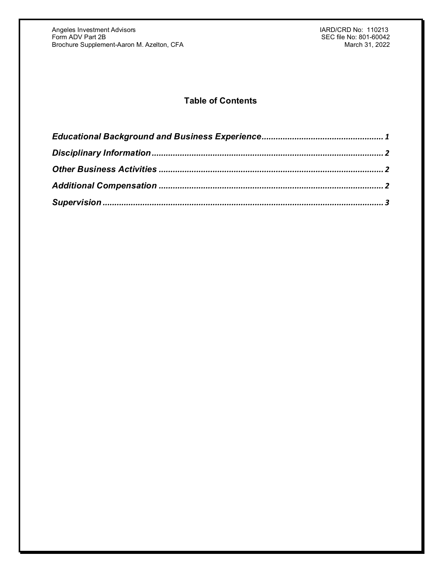# **Table of Contents**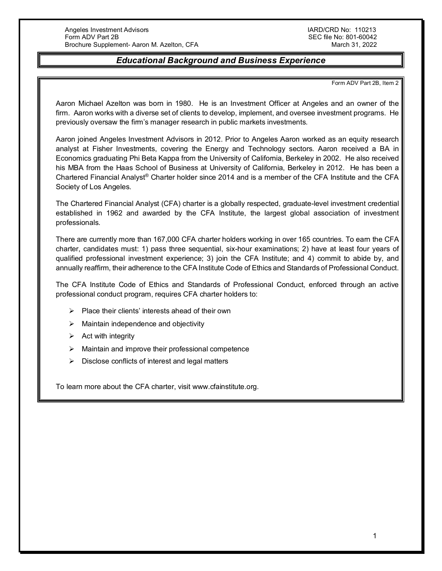#### *Educational Background and Business Experience*

Form ADV Part 2B, Item 2

<span id="page-37-0"></span>Aaron Michael Azelton was born in 1980. He is an Investment Officer at Angeles and an owner of the firm. Aaron works with a diverse set of clients to develop, implement, and oversee investment programs. He previously oversaw the firm's manager research in public markets investments.

Aaron joined Angeles Investment Advisors in 2012. Prior to Angeles Aaron worked as an equity research analyst at Fisher Investments, covering the Energy and Technology sectors. Aaron received a BA in Economics graduating Phi Beta Kappa from the University of California, Berkeley in 2002. He also received his MBA from the Haas School of Business at University of California, Berkeley in 2012. He has been a Chartered Financial Analyst® Charter holder since 2014 and is a member of the CFA Institute and the CFA Society of Los Angeles.

The Chartered Financial Analyst (CFA) charter is a globally respected, graduate-level investment credential established in 1962 and awarded by the CFA Institute, the largest global association of investment professionals.

There are currently more than 167,000 CFA charter holders working in over 165 countries. To earn the CFA charter, candidates must: 1) pass three sequential, six-hour examinations; 2) have at least four years of qualified professional investment experience; 3) join the CFA Institute; and 4) commit to abide by, and annually reaffirm, their adherence to the CFA Institute Code of Ethics and Standards of Professional Conduct.

The CFA Institute Code of Ethics and Standards of Professional Conduct, enforced through an active professional conduct program, requires CFA charter holders to:

- $\triangleright$  Place their clients' interests ahead of their own
- $\triangleright$  Maintain independence and objectivity
- $\triangleright$  Act with integrity
- $\triangleright$  Maintain and improve their professional competence
- Disclose conflicts of interest and legal matters

To learn more about the CFA charter, visit www.cfainstitute.org.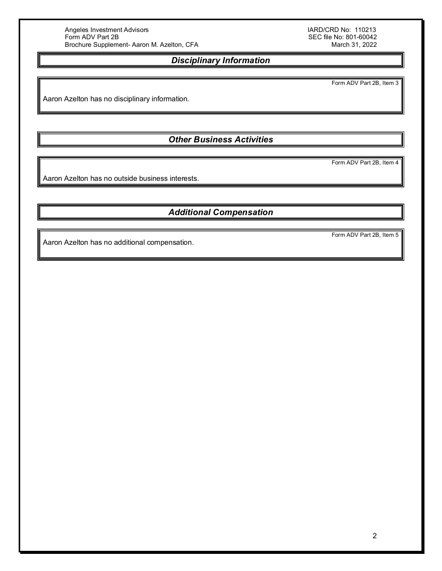# *Disciplinary Information*

Form ADV Part 2B, Item 3

<span id="page-38-1"></span><span id="page-38-0"></span>Aaron Azelton has no disciplinary information.

# *Other Business Activities*

Form ADV Part 2B, Item 4

Aaron Azelton has no outside business interests.

# *Additional Compensation*

<span id="page-38-2"></span>Aaron Azelton has no additional compensation.

Form ADV Part 2B, Item 5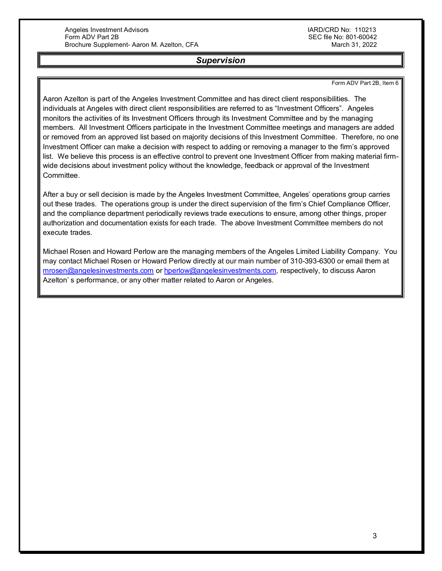#### *Supervision*

Form ADV Part 2B, Item 6

<span id="page-39-0"></span>Aaron Azelton is part of the Angeles Investment Committee and has direct client responsibilities. The individuals at Angeles with direct client responsibilities are referred to as "Investment Officers". Angeles monitors the activities of its Investment Officers through its Investment Committee and by the managing members. All Investment Officers participate in the Investment Committee meetings and managers are added or removed from an approved list based on majority decisions of this Investment Committee. Therefore, no one Investment Officer can make a decision with respect to adding or removing a manager to the firm's approved list. We believe this process is an effective control to prevent one Investment Officer from making material firmwide decisions about investment policy without the knowledge, feedback or approval of the Investment Committee.

After a buy or sell decision is made by the Angeles Investment Committee, Angeles' operations group carries out these trades. The operations group is under the direct supervision of the firm's Chief Compliance Officer, and the compliance department periodically reviews trade executions to ensure, among other things, proper authorization and documentation exists for each trade. The above Investment Committee members do not execute trades.

Michael Rosen and Howard Perlow are the managing members of the Angeles Limited Liability Company. You may contact Michael Rosen or Howard Perlow directly at our main number of 310-393-6300 or email them at [mrosen@angelesinvestments.com](mailto:mrosen@angelesadvisors.com) o[r hperlow@angelesinvestments.com,](mailto:hperlow@angelesadvisors.com) respectively, to discuss Aaron Azelton' s performance, or any other matter related to Aaron or Angeles.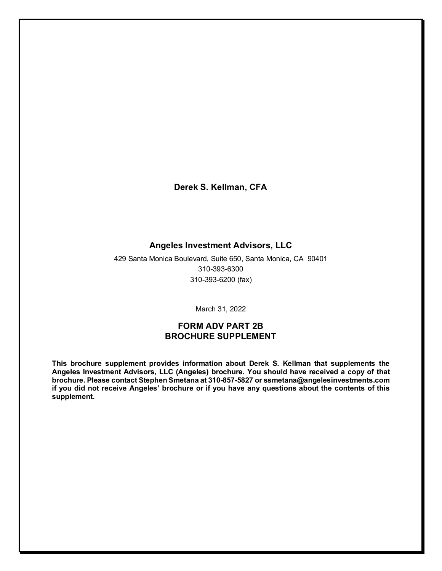**Derek S. Kellman, CFA**

## **Angeles Investment Advisors, LLC**

429 Santa Monica Boulevard, Suite 650, Santa Monica, CA 90401 310-393-6300 310-393-6200 (fax)

March 31, 2022

## **FORM ADV PART 2B BROCHURE SUPPLEMENT**

**This brochure supplement provides information about Derek S. Kellman that supplements the Angeles Investment Advisors, LLC (Angeles) brochure. You should have received a copy of that brochure. Please contact Stephen Smetana at 310-857-5827 or ssmetana@angelesinvestments.com if you did not receive Angeles' brochure or if you have any questions about the contents of this supplement.**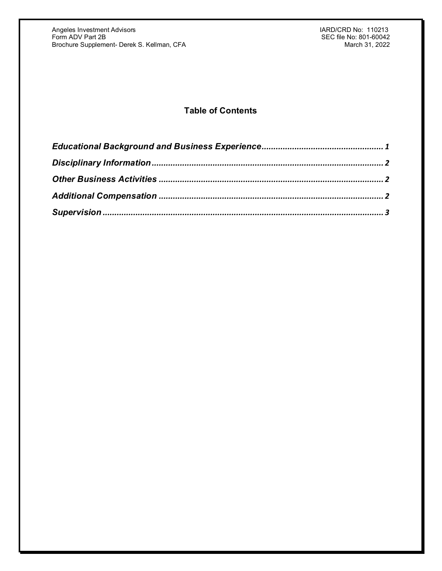# **Table of Contents**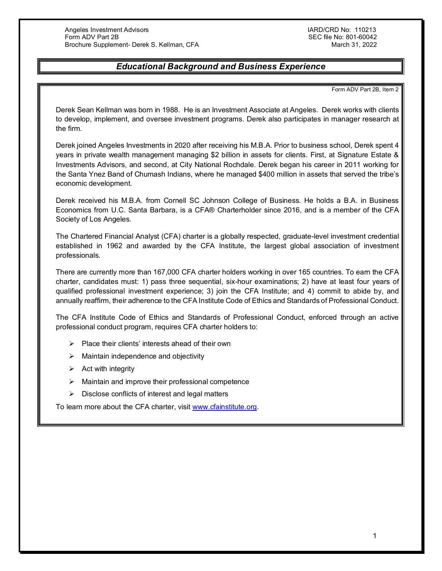#### *Educational Background and Business Experience*

Form ADV Part 2B, Item 2

<span id="page-42-0"></span>Derek Sean Kellman was born in 1988. He is an Investment Associate at Angeles. Derek works with clients to develop, implement, and oversee investment programs. Derek also participates in manager research at the firm.

Derek joined Angeles Investments in 2020 after receiving his M.B.A. Prior to business school, Derek spent 4 years in private wealth management managing \$2 billion in assets for clients. First, at Signature Estate & Investments Advisors, and second, at City National Rochdale. Derek began his career in 2011 working for the Santa Ynez Band of Chumash Indians, where he managed \$400 million in assets that served the tribe's economic development.

Derek received his M.B.A. from Cornell SC Johnson College of Business. He holds a B.A. in Business Economics from U.C. Santa Barbara, is a CFA® Charterholder since 2016, and is a member of the CFA Society of Los Angeles.

The Chartered Financial Analyst (CFA) charter is a globally respected, graduate-level investment credential established in 1962 and awarded by the CFA Institute, the largest global association of investment professionals.

There are currently more than 167,000 CFA charter holders working in over 165 countries. To earn the CFA charter, candidates must: 1) pass three sequential, six-hour examinations; 2) have at least four years of qualified professional investment experience; 3) join the CFA Institute; and 4) commit to abide by, and annually reaffirm, their adherence to the CFA Institute Code of Ethics and Standards of Professional Conduct.

The CFA Institute Code of Ethics and Standards of Professional Conduct, enforced through an active professional conduct program, requires CFA charter holders to:

- $\triangleright$  Place their clients' interests ahead of their own
- $\triangleright$  Maintain independence and objectivity
- $\triangleright$  Act with integrity
- $\triangleright$  Maintain and improve their professional competence
- $\triangleright$  Disclose conflicts of interest and legal matters

To learn more about the CFA charter, visit [www.cfainstitute.org.](http://www.cfainstitute.org/)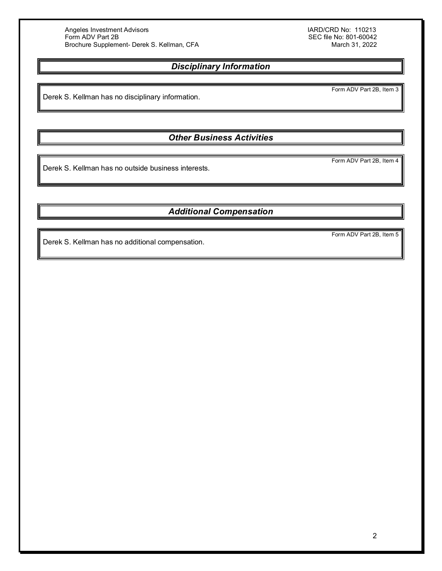SEC file No: 801-60042<br>March 31, 2022

# *Disciplinary Information*

<span id="page-43-0"></span>Derek S. Kellman has no disciplinary information.

## *Other Business Activities*

Form ADV Part 2B, Item 4

Form ADV Part 2B, Item 3

<span id="page-43-1"></span>Derek S. Kellman has no outside business interests.

*Additional Compensation*

Form ADV Part 2B, Item 5

<span id="page-43-2"></span>Derek S. Kellman has no additional compensation.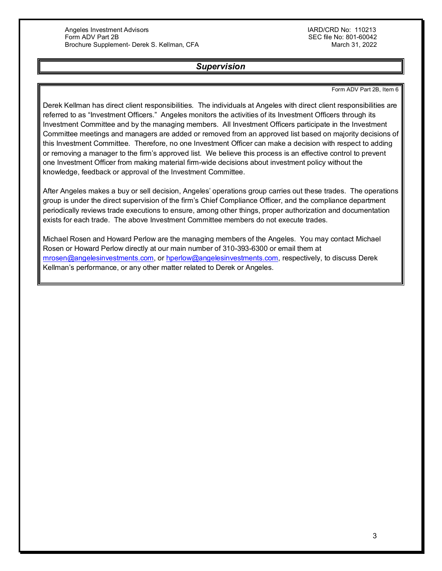## *Supervision*

Form ADV Part 2B, Item 6

<span id="page-44-0"></span>Derek Kellman has direct client responsibilities. The individuals at Angeles with direct client responsibilities are referred to as "Investment Officers." Angeles monitors the activities of its Investment Officers through its Investment Committee and by the managing members. All Investment Officers participate in the Investment Committee meetings and managers are added or removed from an approved list based on majority decisions of this Investment Committee. Therefore, no one Investment Officer can make a decision with respect to adding or removing a manager to the firm's approved list. We believe this process is an effective control to prevent one Investment Officer from making material firm-wide decisions about investment policy without the knowledge, feedback or approval of the Investment Committee.

After Angeles makes a buy or sell decision, Angeles' operations group carries out these trades. The operations group is under the direct supervision of the firm's Chief Compliance Officer, and the compliance department periodically reviews trade executions to ensure, among other things, proper authorization and documentation exists for each trade. The above Investment Committee members do not execute trades.

Michael Rosen and Howard Perlow are the managing members of the Angeles. You may contact Michael Rosen or Howard Perlow directly at our main number of 310-393-6300 or email them at [mrosen@angelesinvestments.com,](mailto:mrosen@angelesadvisors.com) or [hperlow@angelesinvestments.com,](mailto:hperlow@angelesadvisors.com) respectively, to discuss Derek Kellman's performance, or any other matter related to Derek or Angeles.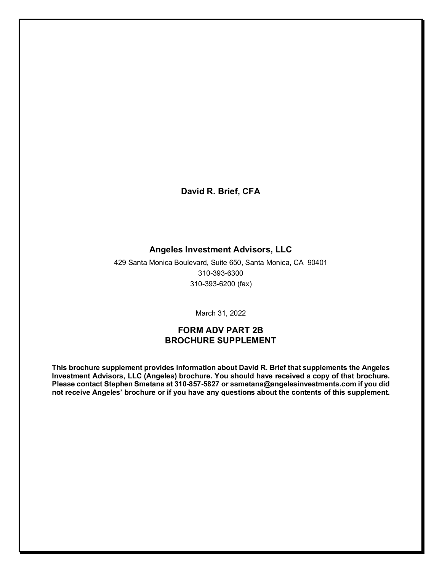**David R. Brief, CFA**

## **Angeles Investment Advisors, LLC**

429 Santa Monica Boulevard, Suite 650, Santa Monica, CA 90401 310-393-6300 310-393-6200 (fax)

March 31, 2022

## **FORM ADV PART 2B BROCHURE SUPPLEMENT**

**This brochure supplement provides information about David R. Brief that supplements the Angeles Investment Advisors, LLC (Angeles) brochure. You should have received a copy of that brochure. Please contact Stephen Smetana at 310-857-5827 or ssmetana@angelesinvestments.com if you did not receive Angeles' brochure or if you have any questions about the contents of this supplement.**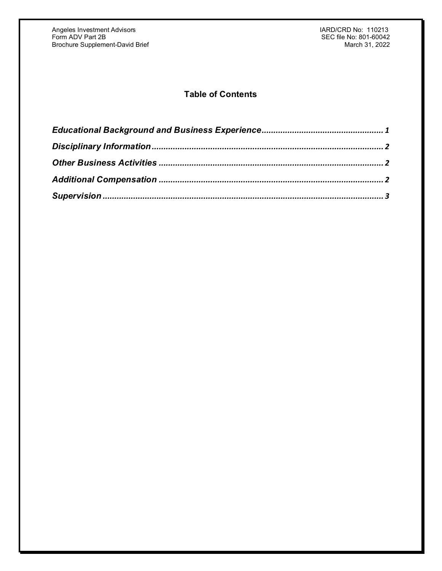Angeles Investment Advisors IARD/CRD No: 110213 Form ADV Part 2B SEC file No: 801-60042 Brochure Supplement-David Brief March 31, 2022 (March 31, 2022 (March 31, 2022 (March 31, 2022 (March 31, 2022

# **Table of Contents**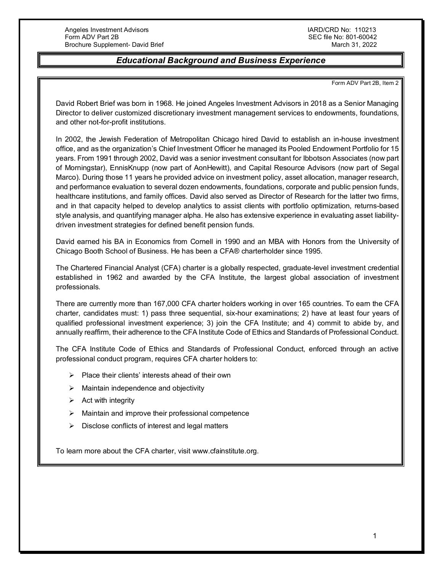### *Educational Background and Business Experience*

Form ADV Part 2B, Item 2

<span id="page-47-0"></span>David Robert Brief was born in 1968. He joined Angeles Investment Advisors in 2018 as a Senior Managing Director to deliver customized discretionary investment management services to endowments, foundations, and other not-for-profit institutions.

In 2002, the Jewish Federation of Metropolitan Chicago hired David to establish an in-house investment office, and as the organization's Chief Investment Officer he managed its Pooled Endowment Portfolio for 15 years. From 1991 through 2002, David was a senior investment consultant for Ibbotson Associates (now part of Morningstar), EnnisKnupp (now part of AonHewitt), and Capital Resource Advisors (now part of Segal Marco). During those 11 years he provided advice on investment policy, asset allocation, manager research, and performance evaluation to several dozen endowments, foundations, corporate and public pension funds, healthcare institutions, and family offices. David also served as Director of Research for the latter two firms, and in that capacity helped to develop analytics to assist clients with portfolio optimization, returns-based style analysis, and quantifying manager alpha. He also has extensive experience in evaluating asset liabilitydriven investment strategies for defined benefit pension funds.

David earned his BA in Economics from Cornell in 1990 and an MBA with Honors from the University of Chicago Booth School of Business. He has been a CFA® charterholder since 1995.

The Chartered Financial Analyst (CFA) charter is a globally respected, graduate-level investment credential established in 1962 and awarded by the CFA Institute, the largest global association of investment professionals.

There are currently more than 167,000 CFA charter holders working in over 165 countries. To earn the CFA charter, candidates must: 1) pass three sequential, six-hour examinations; 2) have at least four years of qualified professional investment experience; 3) join the CFA Institute; and 4) commit to abide by, and annually reaffirm, their adherence to the CFA Institute Code of Ethics and Standards of Professional Conduct.

The CFA Institute Code of Ethics and Standards of Professional Conduct, enforced through an active professional conduct program, requires CFA charter holders to:

- $\triangleright$  Place their clients' interests ahead of their own
- $\triangleright$  Maintain independence and objectivity
- $\triangleright$  Act with integrity
- $\triangleright$  Maintain and improve their professional competence
- $\triangleright$  Disclose conflicts of interest and legal matters

To learn more about the CFA charter, visit www.cfainstitute.org.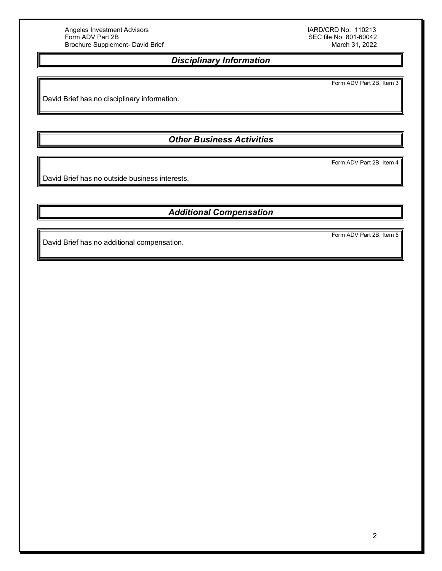<span id="page-48-0"></span>Angeles Investment Advisors and Executive Control of the UARD/CRD No: 110213<br>
Form ADV Part 2B<br>
SEC file No: 801-60042 Brochure Supplement- David Brief

SEC file No: 801-60042<br>March 31, 2022

# *Disciplinary Information*

Form ADV Part 2B, Item 3

<span id="page-48-1"></span>David Brief has no disciplinary information.

# *Other Business Activities*

Form ADV Part 2B, Item 4

Form ADV Part 2B, Item 5

David Brief has no outside business interests.

# *Additional Compensation*

<span id="page-48-2"></span>David Brief has no additional compensation.

2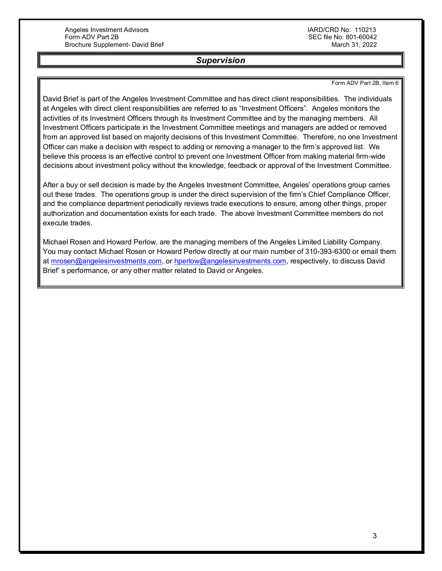<span id="page-49-0"></span>Angeles Investment Advisors **International Community** Control of the IARD/CRD No: 110213 Form ADV Part 2B SEC file No: 801-60042 Brochure Supplement- David Brief March 31, 2022

#### *Supervision*

Form ADV Part 2B, Item 6

David Brief is part of the Angeles Investment Committee and has direct client responsibilities. The individuals at Angeles with direct client responsibilities are referred to as "Investment Officers". Angeles monitors the activities of its Investment Officers through its Investment Committee and by the managing members. All Investment Officers participate in the Investment Committee meetings and managers are added or removed from an approved list based on majority decisions of this Investment Committee. Therefore, no one Investment Officer can make a decision with respect to adding or removing a manager to the firm's approved list. We believe this process is an effective control to prevent one Investment Officer from making material firm-wide decisions about investment policy without the knowledge, feedback or approval of the Investment Committee.

After a buy or sell decision is made by the Angeles Investment Committee, Angeles' operations group carries out these trades. The operations group is under the direct supervision of the firm's Chief Compliance Officer, and the compliance department periodically reviews trade executions to ensure, among other things, proper authorization and documentation exists for each trade. The above Investment Committee members do not execute trades.

Michael Rosen and Howard Perlow, are the managing members of the Angeles Limited Liability Company. You may contact Michael Rosen or Howard Perlow directly at our main number of 310-393-6300 or email them at [mrosen@angelesinvestments.com,](mailto:mrosen@angelesadvisors.com) or [hperlow@angelesinvestments.com,](mailto:hperlow@angelesadvisors.com) respectively, to discuss David Brief' s performance, or any other matter related to David or Angeles.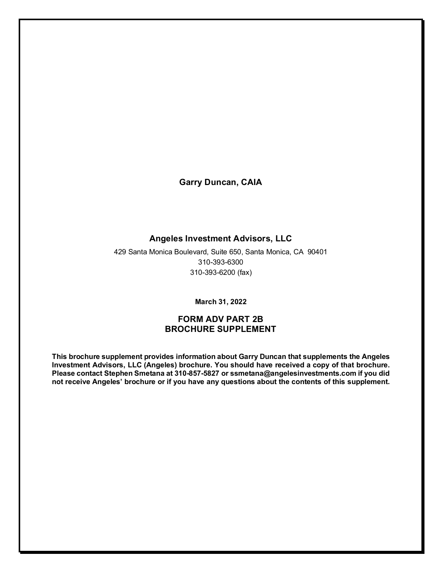**Garry Duncan, CAIA**

#### **Angeles Investment Advisors, LLC**

429 Santa Monica Boulevard, Suite 650, Santa Monica, CA 90401 310-393-6300 310-393-6200 (fax)

**March 31, 2022**

#### **FORM ADV PART 2B BROCHURE SUPPLEMENT**

**This brochure supplement provides information about Garry Duncan that supplements the Angeles Investment Advisors, LLC (Angeles) brochure. You should have received a copy of that brochure. Please contact Stephen Smetana at 310-857-5827 or ssmetana@angelesinvestments.com if you did not receive Angeles' brochure or if you have any questions about the contents of this supplement.**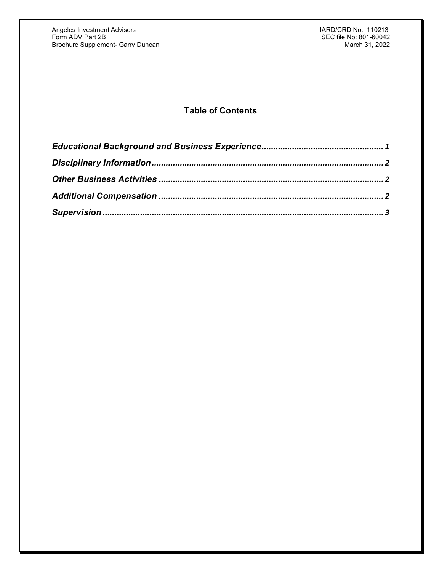Angeles Investment Advisors IARD/CRD No: 110213 Form ADV Part 2B SEC file No: 801-60042 Brochure Supplement- Garry Duncan March 31, 2022 - March 31, 2022

# **Table of Contents**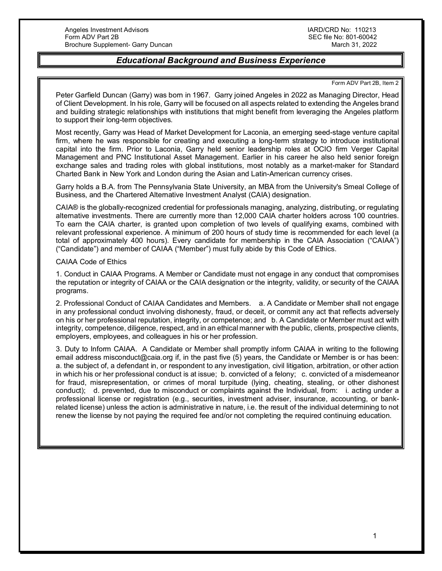#### *Educational Background and Business Experience*

Form ADV Part 2B, Item 2

<span id="page-52-0"></span>Peter Garfield Duncan (Garry) was born in 1967. Garry joined Angeles in 2022 as Managing Director, Head of Client Development. In his role, Garry will be focused on all aspects related to extending the Angeles brand and building strategic relationships with institutions that might benefit from leveraging the Angeles platform to support their long-term objectives.

Most recently, Garry was Head of Market Development for Laconia, an emerging seed-stage venture capital firm, where he was responsible for creating and executing a long-term strategy to introduce institutional capital into the firm. Prior to Laconia, Garry held senior leadership roles at OCIO firm Verger Capital Management and PNC Institutional Asset Management. Earlier in his career he also held senior foreign exchange sales and trading roles with global institutions, most notably as a market-maker for Standard Charted Bank in New York and London during the Asian and Latin-American currency crises.

Garry holds a B.A. from The Pennsylvania State University, an MBA from the University's Smeal College of Business, and the Chartered Alternative Investment Analyst (CAIA) designation.

CAIA® is the globally-recognized credential for professionals managing, analyzing, distributing, or regulating alternative investments. There are currently more than 12,000 CAIA charter holders across 100 countries. To earn the CAIA charter, is granted upon completion of two levels of qualifying exams, combined with relevant professional experience. A minimum of 200 hours of study time is recommended for each level (a total of approximately 400 hours). Every candidate for membership in the CAIA Association ("CAIAA") ("Candidate") and member of CAIAA ("Member") must fully abide by this Code of Ethics.

#### CAIAA Code of Ethics

1. Conduct in CAIAA Programs. A Member or Candidate must not engage in any conduct that compromises the reputation or integrity of CAIAA or the CAIA designation or the integrity, validity, or security of the CAIAA programs.

2. Professional Conduct of CAIAA Candidates and Members. a. A Candidate or Member shall not engage in any professional conduct involving dishonesty, fraud, or deceit, or commit any act that reflects adversely on his or her professional reputation, integrity, or competence; and b. A Candidate or Member must act with integrity, competence, diligence, respect, and in an ethical manner with the public, clients, prospective clients, employers, employees, and colleagues in his or her profession.

3. Duty to Inform CAIAA. A Candidate or Member shall promptly inform CAIAA in writing to the following email address misconduct@caia.org if, in the past five (5) years, the Candidate or Member is or has been: a. the subject of, a defendant in, or respondent to any investigation, civil litigation, arbitration, or other action in which his or her professional conduct is at issue; b. convicted of a felony; c. convicted of a misdemeanor for fraud, misrepresentation, or crimes of moral turpitude (lying, cheating, stealing, or other dishonest conduct); d. prevented, due to misconduct or complaints against the Individual, from: i. acting under a professional license or registration (e.g., securities, investment adviser, insurance, accounting, or bankrelated license) unless the action is administrative in nature, i.e. the result of the individual determining to not renew the license by not paying the required fee and/or not completing the required continuing education.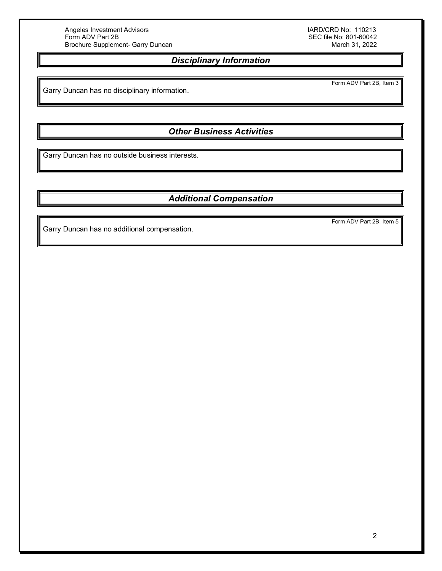Angeles Investment Advisors and Executive Control of the UARD/CRD No: 110213<br>
Form ADV Part 2B<br>
SEC file No: 801-60042 Brochure Supplement- Garry Duncan

SEC file No: 801-60042<br>March 31, 2022

# *Disciplinary Information*

<span id="page-53-0"></span>Garry Duncan has no disciplinary information.

*Other Business Activities*

<span id="page-53-1"></span>Garry Duncan has no outside business interests.

# *Additional Compensation*

<span id="page-53-2"></span>Garry Duncan has no additional compensation.

Form ADV Part 2B, Item 3

Form ADV Part 2B, Item 5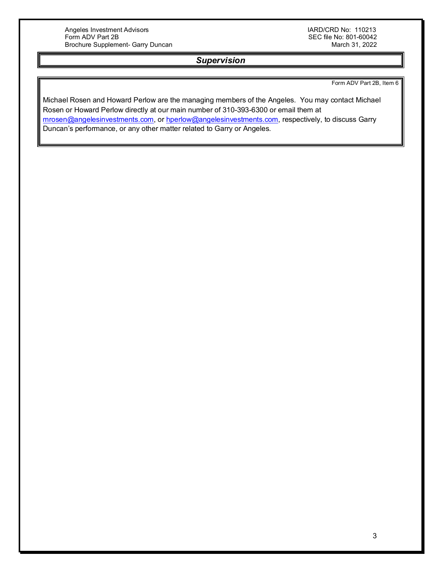*Supervision*

Form ADV Part 2B, Item 6

<span id="page-54-0"></span>Michael Rosen and Howard Perlow are the managing members of the Angeles. You may contact Michael Rosen or Howard Perlow directly at our main number of 310-393-6300 or email them at [mrosen@angelesinvestments.com,](mailto:mrosen@angelesadvisors.com) or [hperlow@angelesinvestments.com,](mailto:hperlow@angelesadvisors.com) respectively, to discuss Garry Duncan's performance, or any other matter related to Garry or Angeles.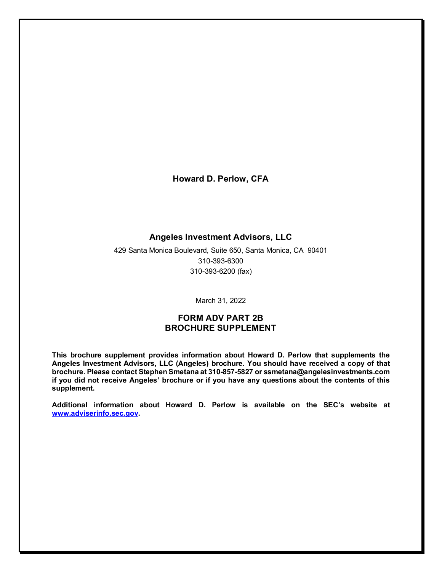**Howard D. Perlow, CFA**

#### **Angeles Investment Advisors, LLC**

429 Santa Monica Boulevard, Suite 650, Santa Monica, CA 90401 310-393-6300 310-393-6200 (fax)

March 31, 2022

#### **FORM ADV PART 2B BROCHURE SUPPLEMENT**

**This brochure supplement provides information about Howard D. Perlow that supplements the Angeles Investment Advisors, LLC (Angeles) brochure. You should have received a copy of that brochure. Please contact Stephen Smetana at 310-857-5827 or ssmetana@angelesinvestments.com if you did not receive Angeles' brochure or if you have any questions about the contents of this supplement.**

**Additional information about Howard D. Perlow is available on the SEC's website at [www.adviserinfo.sec.gov.](http://www.adviserinfo.sec.gov/)**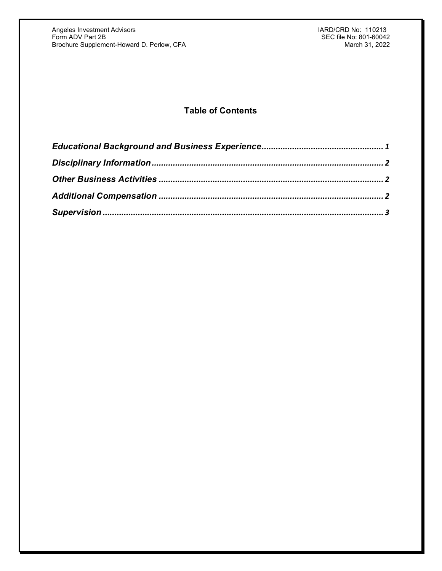# **Table of Contents**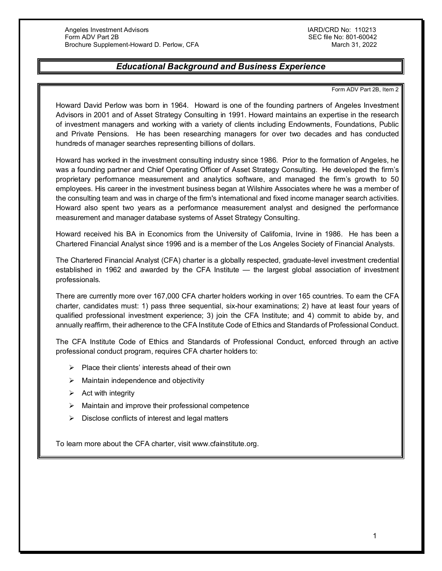### *Educational Background and Business Experience*

Form ADV Part 2B, Item 2

<span id="page-57-0"></span>Howard David Perlow was born in 1964. Howard is one of the founding partners of Angeles Investment Advisors in 2001 and of Asset Strategy Consulting in 1991. Howard maintains an expertise in the research of investment managers and working with a variety of clients including Endowments, Foundations, Public and Private Pensions. He has been researching managers for over two decades and has conducted hundreds of manager searches representing billions of dollars.

Howard has worked in the investment consulting industry since 1986. Prior to the formation of Angeles, he was a founding partner and Chief Operating Officer of Asset Strategy Consulting. He developed the firm's proprietary performance measurement and analytics software, and managed the firm's growth to 50 employees. His career in the investment business began at Wilshire Associates where he was a member of the consulting team and was in charge of the firm's international and fixed income manager search activities. Howard also spent two years as a performance measurement analyst and designed the performance measurement and manager database systems of Asset Strategy Consulting.

Howard received his BA in Economics from the University of California, Irvine in 1986. He has been a Chartered Financial Analyst since 1996 and is a member of the Los Angeles Society of Financial Analysts.

The Chartered Financial Analyst (CFA) charter is a globally respected, graduate-level investment credential established in 1962 and awarded by the CFA Institute — the largest global association of investment professionals.

There are currently more over 167,000 CFA charter holders working in over 165 countries. To earn the CFA charter, candidates must: 1) pass three sequential, six-hour examinations; 2) have at least four years of qualified professional investment experience; 3) join the CFA Institute; and 4) commit to abide by, and annually reaffirm, their adherence to the CFA Institute Code of Ethics and Standards of Professional Conduct.

The CFA Institute Code of Ethics and Standards of Professional Conduct, enforced through an active professional conduct program, requires CFA charter holders to:

- $\triangleright$  Place their clients' interests ahead of their own
- $\triangleright$  Maintain independence and objectivity
- $\triangleright$  Act with integrity
- $\triangleright$  Maintain and improve their professional competence
- $\triangleright$  Disclose conflicts of interest and legal matters

To learn more about the CFA charter, visit www.cfainstitute.org.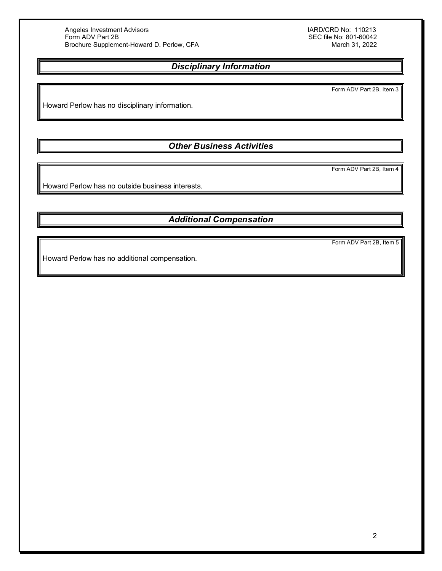# *Disciplinary Information*

Form ADV Part 2B, Item 3

<span id="page-58-1"></span><span id="page-58-0"></span>Howard Perlow has no disciplinary information.

# *Other Business Activities*

Form ADV Part 2B, Item 4

<span id="page-58-2"></span>Howard Perlow has no outside business interests.

# *Additional Compensation*

Form ADV Part 2B, Item 5

Howard Perlow has no additional compensation.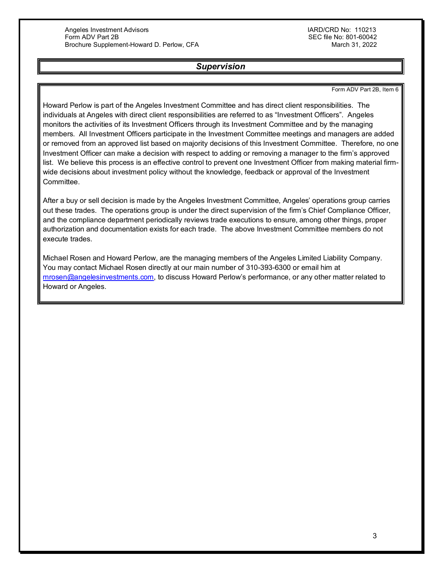## *Supervision*

Form ADV Part 2B, Item 6

<span id="page-59-0"></span>Howard Perlow is part of the Angeles Investment Committee and has direct client responsibilities. The individuals at Angeles with direct client responsibilities are referred to as "Investment Officers". Angeles monitors the activities of its Investment Officers through its Investment Committee and by the managing members. All Investment Officers participate in the Investment Committee meetings and managers are added or removed from an approved list based on majority decisions of this Investment Committee. Therefore, no one Investment Officer can make a decision with respect to adding or removing a manager to the firm's approved list. We believe this process is an effective control to prevent one Investment Officer from making material firmwide decisions about investment policy without the knowledge, feedback or approval of the Investment Committee.

After a buy or sell decision is made by the Angeles Investment Committee, Angeles' operations group carries out these trades. The operations group is under the direct supervision of the firm's Chief Compliance Officer, and the compliance department periodically reviews trade executions to ensure, among other things, proper authorization and documentation exists for each trade. The above Investment Committee members do not execute trades.

Michael Rosen and Howard Perlow, are the managing members of the Angeles Limited Liability Company. You may contact Michael Rosen directly at our main number of 310-393-6300 or email him at [mrosen@angelesinvestments.com,](mailto:mrosen@angelesadvisors.com) to discuss Howard Perlow's performance, or any other matter related to Howard or Angeles.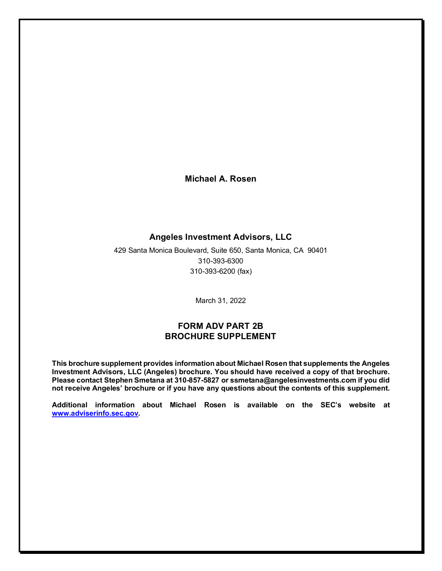**Michael A. Rosen**

#### **Angeles Investment Advisors, LLC**

429 Santa Monica Boulevard, Suite 650, Santa Monica, CA 90401 310-393-6300 310-393-6200 (fax)

March 31, 2022

#### **FORM ADV PART 2B BROCHURE SUPPLEMENT**

**This brochure supplement provides information about Michael Rosen that supplements the Angeles Investment Advisors, LLC (Angeles) brochure. You should have received a copy of that brochure. Please contact Stephen Smetana at 310-857-5827 or ssmetana@angelesinvestments.com if you did not receive Angeles' brochure or if you have any questions about the contents of this supplement.**

**Additional information about Michael Rosen is available on the SEC's website at [www.adviserinfo.sec.gov.](http://www.adviserinfo.sec.gov/)**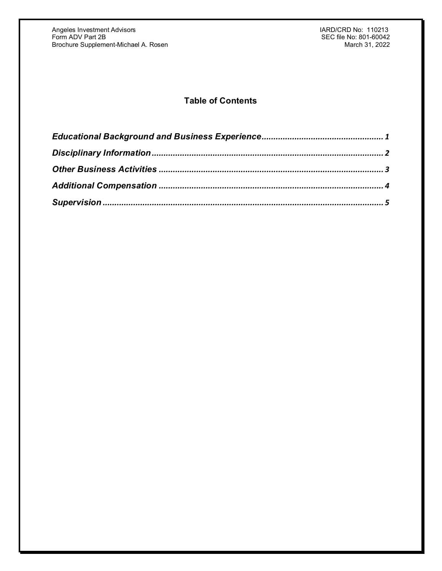# **Table of Contents**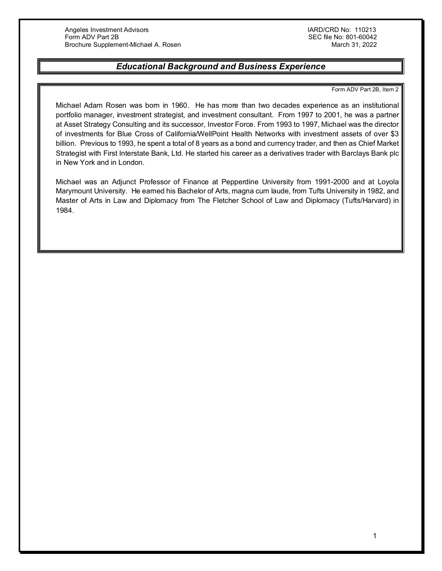#### *Educational Background and Business Experience*

Form ADV Part 2B, Item 2

<span id="page-62-0"></span>Michael Adam Rosen was born in 1960. He has more than two decades experience as an institutional portfolio manager, investment strategist, and investment consultant. From 1997 to 2001, he was a partner at Asset Strategy Consulting and its successor, Investor Force. From 1993 to 1997, Michael was the director of investments for Blue Cross of California/WellPoint Health Networks with investment assets of over \$3 billion. Previous to 1993, he spent a total of 8 years as a bond and currency trader, and then as Chief Market Strategist with First Interstate Bank, Ltd. He started his career as a derivatives trader with Barclays Bank plc in New York and in London.

Michael was an Adjunct Professor of Finance at Pepperdine University from 1991-2000 and at Loyola Marymount University. He earned his Bachelor of Arts, magna cum laude, from Tufts University in 1982, and Master of Arts in Law and Diplomacy from The Fletcher School of Law and Diplomacy (Tufts/Harvard) in 1984.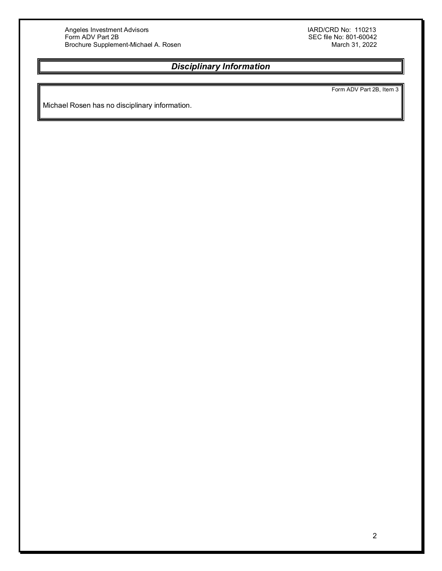# *Disciplinary Information*

Form ADV Part 2B, Item 3

Michael Rosen has no disciplinary information.

<span id="page-63-0"></span>║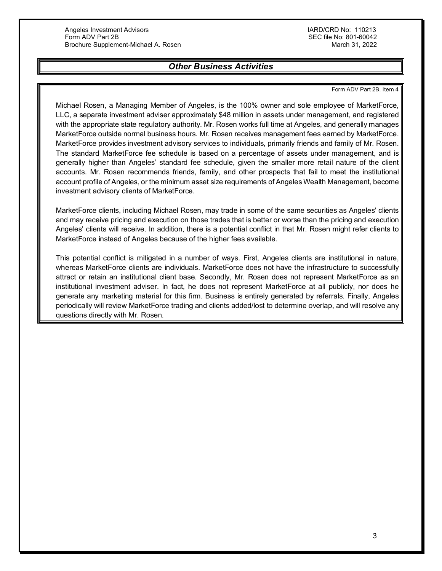## *Other Business Activities*

Form ADV Part 2B, Item 4

<span id="page-64-0"></span>Michael Rosen, a Managing Member of Angeles, is the 100% owner and sole employee of MarketForce, LLC, a separate investment adviser approximately \$48 million in assets under management, and registered with the appropriate state regulatory authority. Mr. Rosen works full time at Angeles, and generally manages MarketForce outside normal business hours. Mr. Rosen receives management fees earned by MarketForce. MarketForce provides investment advisory services to individuals, primarily friends and family of Mr. Rosen. The standard MarketForce fee schedule is based on a percentage of assets under management, and is generally higher than Angeles' standard fee schedule, given the smaller more retail nature of the client accounts. Mr. Rosen recommends friends, family, and other prospects that fail to meet the institutional account profile of Angeles, or the minimum asset size requirements of Angeles Wealth Management, become investment advisory clients of MarketForce.

MarketForce clients, including Michael Rosen, may trade in some of the same securities as Angeles' clients and may receive pricing and execution on those trades that is better or worse than the pricing and execution Angeles' clients will receive. In addition, there is a potential conflict in that Mr. Rosen might refer clients to MarketForce instead of Angeles because of the higher fees available.

This potential conflict is mitigated in a number of ways. First, Angeles clients are institutional in nature, whereas MarketForce clients are individuals. MarketForce does not have the infrastructure to successfully attract or retain an institutional client base. Secondly, Mr. Rosen does not represent MarketForce as an institutional investment adviser. In fact, he does not represent MarketForce at all publicly, nor does he generate any marketing material for this firm. Business is entirely generated by referrals. Finally, Angeles periodically will review MarketForce trading and clients added/lost to determine overlap, and will resolve any questions directly with Mr. Rosen.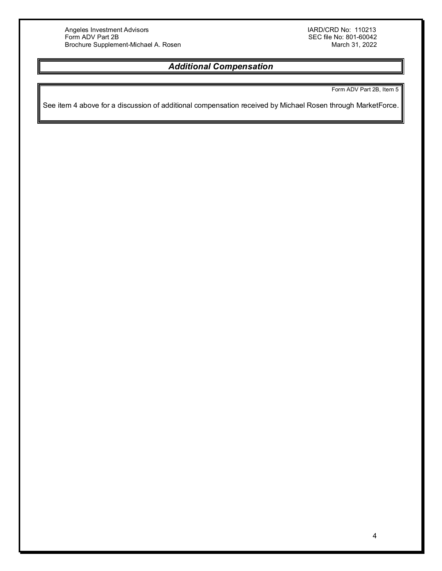# *Additional Compensation*

Form ADV Part 2B, Item 5

<span id="page-65-0"></span>See item 4 above for a discussion of additional compensation received by Michael Rosen through MarketForce.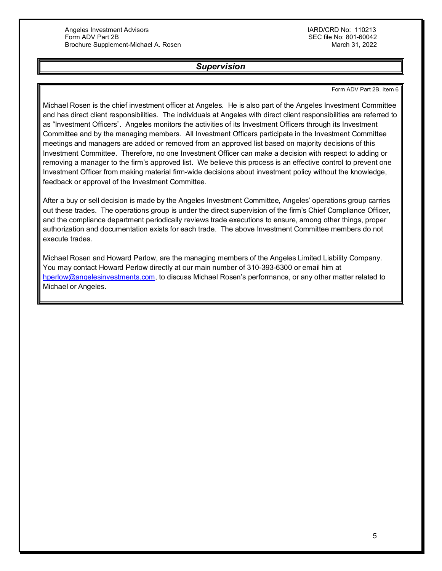## *Supervision*

Form ADV Part 2B, Item 6

<span id="page-66-0"></span>Michael Rosen is the chief investment officer at Angeles. He is also part of the Angeles Investment Committee and has direct client responsibilities. The individuals at Angeles with direct client responsibilities are referred to as "Investment Officers". Angeles monitors the activities of its Investment Officers through its Investment Committee and by the managing members. All Investment Officers participate in the Investment Committee meetings and managers are added or removed from an approved list based on majority decisions of this Investment Committee. Therefore, no one Investment Officer can make a decision with respect to adding or removing a manager to the firm's approved list. We believe this process is an effective control to prevent one Investment Officer from making material firm-wide decisions about investment policy without the knowledge, feedback or approval of the Investment Committee.

After a buy or sell decision is made by the Angeles Investment Committee, Angeles' operations group carries out these trades. The operations group is under the direct supervision of the firm's Chief Compliance Officer, and the compliance department periodically reviews trade executions to ensure, among other things, proper authorization and documentation exists for each trade. The above Investment Committee members do not execute trades.

Michael Rosen and Howard Perlow, are the managing members of the Angeles Limited Liability Company. You may contact Howard Perlow directly at our main number of 310-393-6300 or email him at [hperlow@angelesinvestments.com,](mailto:hperlow@angelesadvisors.com) to discuss Michael Rosen's performance, or any other matter related to Michael or Angeles.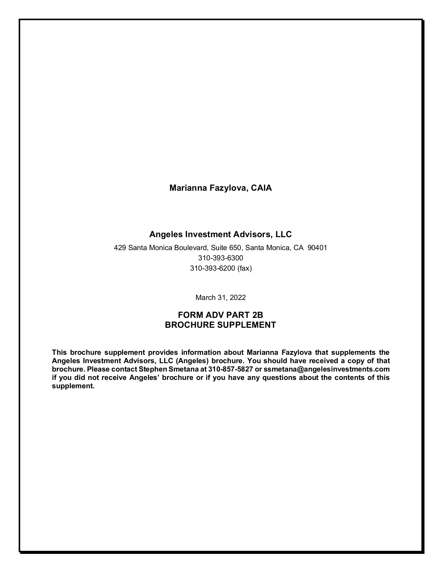**Marianna Fazylova, CAIA**

#### **Angeles Investment Advisors, LLC**

429 Santa Monica Boulevard, Suite 650, Santa Monica, CA 90401 310-393-6300 310-393-6200 (fax)

March 31, 2022

#### **FORM ADV PART 2B BROCHURE SUPPLEMENT**

**This brochure supplement provides information about Marianna Fazylova that supplements the Angeles Investment Advisors, LLC (Angeles) brochure. You should have received a copy of that brochure. Please contact Stephen Smetana at 310-857-5827 or ssmetana@angelesinvestments.com if you did not receive Angeles' brochure or if you have any questions about the contents of this supplement.**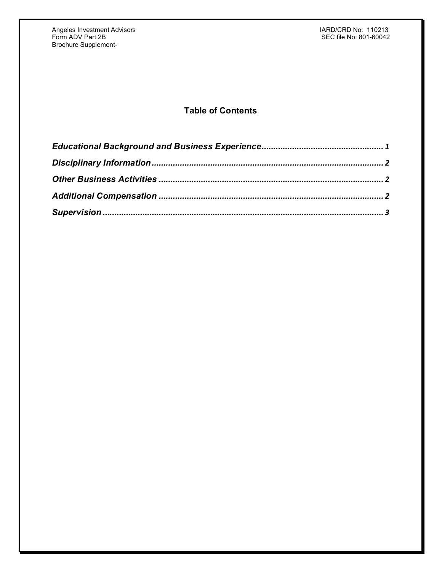# **Table of Contents**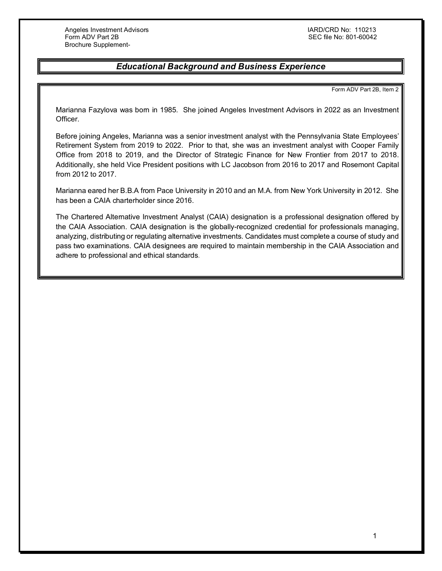## *Educational Background and Business Experience*

Form ADV Part 2B, Item 2

<span id="page-69-0"></span>Marianna Fazylova was born in 1985. She joined Angeles Investment Advisors in 2022 as an Investment Officer.

Before joining Angeles, Marianna was a senior investment analyst with the Pennsylvania State Employees' Retirement System from 2019 to 2022. Prior to that, she was an investment analyst with Cooper Family Office from 2018 to 2019, and the Director of Strategic Finance for New Frontier from 2017 to 2018. Additionally, she held Vice President positions with LC Jacobson from 2016 to 2017 and Rosemont Capital from 2012 to 2017.

Marianna eared her B.B.A from Pace University in 2010 and an M.A. from New York University in 2012. She has been a CAIA charterholder since 2016.

The Chartered Alternative Investment Analyst (CAIA) designation is a professional designation offered by the CAIA Association. CAIA designation is the globally-recognized credential for professionals managing, analyzing, distributing or regulating alternative investments. Candidates must complete a course of study and pass two examinations. CAIA designees are required to maintain membership in the CAIA Association and adhere to professional and ethical standards.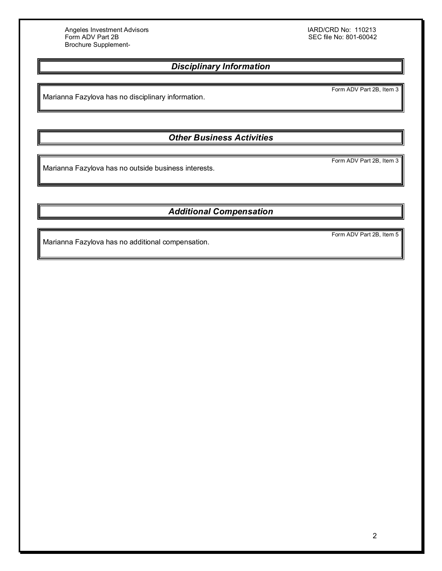Angeles Investment Advisors and Executive Control of the UARD/CRD No: 110213<br>
Form ADV Part 2B<br>
SEC file No: 801-60042 Brochure Supplement-

SEC file No: 801-60042

## *Disciplinary Information*

<span id="page-70-0"></span>Marianna Fazylova has no disciplinary information.

## *Other Business Activities*

Form ADV Part 2B, Item 3

Form ADV Part 2B, Item 3

<span id="page-70-1"></span>Marianna Fazylova has no outside business interests.

*Additional Compensation*

Form ADV Part 2B, Item 5

<span id="page-70-2"></span>Marianna Fazylova has no additional compensation.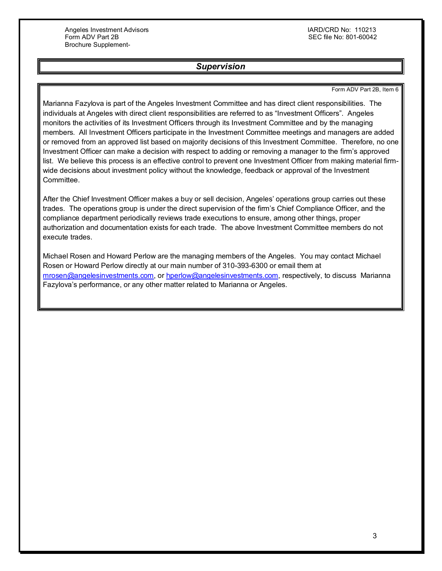## *Supervision*

Form ADV Part 2B, Item 6

<span id="page-71-0"></span>Marianna Fazylova is part of the Angeles Investment Committee and has direct client responsibilities. The individuals at Angeles with direct client responsibilities are referred to as "Investment Officers". Angeles monitors the activities of its Investment Officers through its Investment Committee and by the managing members. All Investment Officers participate in the Investment Committee meetings and managers are added or removed from an approved list based on majority decisions of this Investment Committee. Therefore, no one Investment Officer can make a decision with respect to adding or removing a manager to the firm's approved list. We believe this process is an effective control to prevent one Investment Officer from making material firmwide decisions about investment policy without the knowledge, feedback or approval of the Investment Committee.

After the Chief Investment Officer makes a buy or sell decision, Angeles' operations group carries out these trades. The operations group is under the direct supervision of the firm's Chief Compliance Officer, and the compliance department periodically reviews trade executions to ensure, among other things, proper authorization and documentation exists for each trade. The above Investment Committee members do not execute trades.

Michael Rosen and Howard Perlow are the managing members of the Angeles. You may contact Michael Rosen or Howard Perlow directly at our main number of 310-393-6300 or email them at [mrosen@angelesinvestments.com,](mailto:mrosen@angelesadvisors.com) or [hperlow@angelesinvestments.com,](mailto:hperlow@angelesadvisors.com) respectively, to discuss Marianna Fazylova's performance, or any other matter related to Marianna or Angeles.